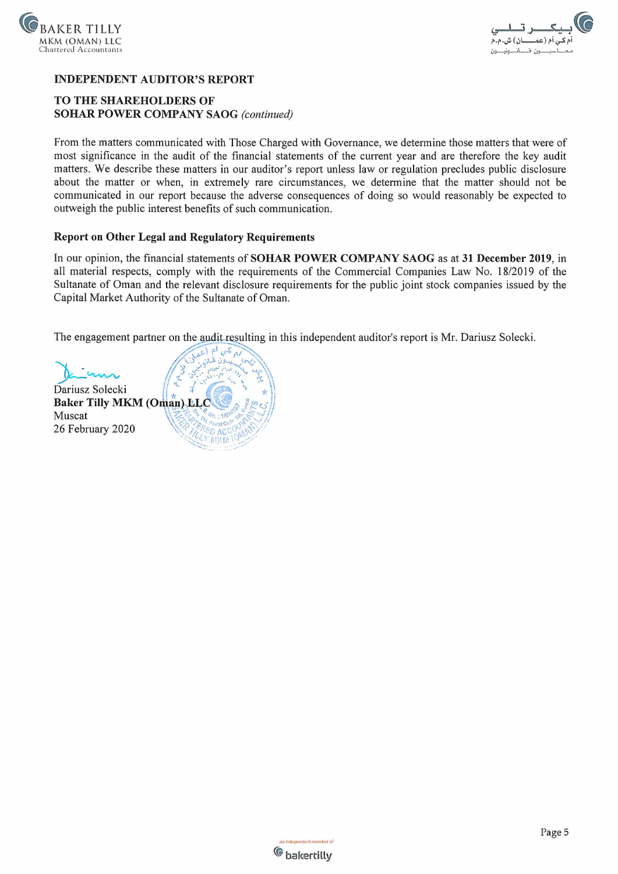



## **INDEPENDENT AUDITOR'S REPORT**

## TO THE SHAREHOLDERS OF **SOHAR POWER COMPANY SAOG (continued)**

From the matters communicated with Those Charged with Governance, we determine those matters that were of most significance in the audit of the financial statements of the current year and are therefore the key audit matters. We describe these matters in our auditor's report unless law or regulation precludes public disclosure about the matter or when, in extremely rare circumstances, we determine that the matter should not be communicated in our report because the adverse consequences of doing so would reasonably be expected to outweigh the public interest benefits of such communication.

#### **Report on Other Legal and Regulatory Requirements**

In our opinion, the financial statements of SOHAR POWER COMPANY SAOG as at 31 December 2019, in all material respects, comply with the requirements of the Commercial Companies Law No. 18/2019 of the Sultanate of Oman and the relevant disclosure requirements for the public joint stock companies issued by the Capital Market Authority of the Sultanate of Oman.

The engagement partner on the audit resulting in this independent auditor's report is Mr. Dariusz Solecki.



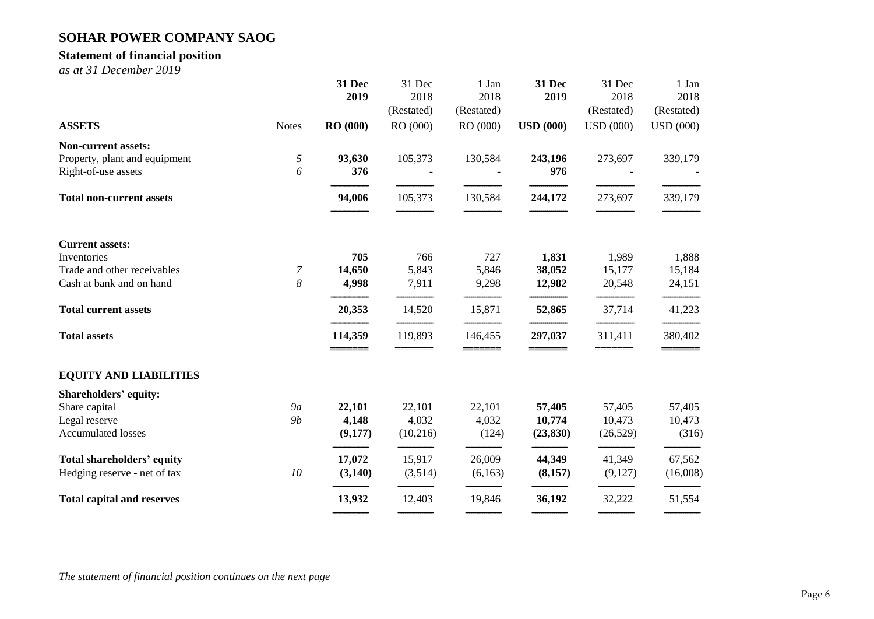## **Statement of financial position**

*as at 31 December 2019*

|                                   |              | 31 Dec          | 31 Dec     | 1 Jan      | 31 Dec           | 31 Dec           | 1 Jan            |
|-----------------------------------|--------------|-----------------|------------|------------|------------------|------------------|------------------|
|                                   |              | 2019            | 2018       | 2018       | 2019             | 2018             | 2018             |
|                                   |              |                 | (Restated) | (Restated) |                  | (Restated)       | (Restated)       |
| <b>ASSETS</b>                     | <b>Notes</b> | <b>RO</b> (000) | RO (000)   | RO (000)   | <b>USD</b> (000) | <b>USD (000)</b> | <b>USD</b> (000) |
| <b>Non-current assets:</b>        |              |                 |            |            |                  |                  |                  |
| Property, plant and equipment     | 5            | 93,630          | 105,373    | 130,584    | 243,196          | 273,697          | 339,179          |
| Right-of-use assets               | 6            | 376             |            |            | 976              |                  |                  |
| <b>Total non-current assets</b>   |              | 94,006          | 105,373    | 130,584    | 244,172          | 273,697          | 339,179          |
| <b>Current assets:</b>            |              |                 |            |            |                  |                  |                  |
| Inventories                       |              | 705             | 766        | 727        | 1,831            | 1,989            | 1,888            |
| Trade and other receivables       | 7            | 14,650          | 5,843      | 5,846      | 38,052           | 15,177           | 15,184           |
| Cash at bank and on hand          | 8            | 4,998           | 7,911      | 9,298      | 12,982           | 20,548           | 24,151           |
| <b>Total current assets</b>       |              | 20,353          | 14,520     | 15,871     | 52,865           | 37,714           | 41,223           |
| <b>Total assets</b>               |              | 114,359         | 119,893    | 146,455    | 297,037          | 311,411          | 380,402          |
| <b>EQUITY AND LIABILITIES</b>     |              |                 |            |            |                  |                  |                  |
| <b>Shareholders' equity:</b>      |              |                 |            |            |                  |                  |                  |
| Share capital                     | 9a           | 22,101          | 22,101     | 22,101     | 57,405           | 57,405           | 57,405           |
| Legal reserve                     | 9b           | 4,148           | 4,032      | 4,032      | 10,774           | 10,473           | 10,473           |
| <b>Accumulated losses</b>         |              | (9,177)         | (10,216)   | (124)      | (23, 830)        | (26, 529)        | (316)            |
| Total shareholders' equity        |              | 17,072          | 15,917     | 26,009     | 44,349           | 41,349           | 67,562           |
| Hedging reserve - net of tax      | 10           | (3,140)         | (3,514)    | (6,163)    | (8,157)          | (9,127)          | (16,008)         |
| <b>Total capital and reserves</b> |              | 13,932          | 12,403     | 19,846     | 36,192           | 32,222           | 51,554           |
|                                   |              |                 |            |            |                  |                  |                  |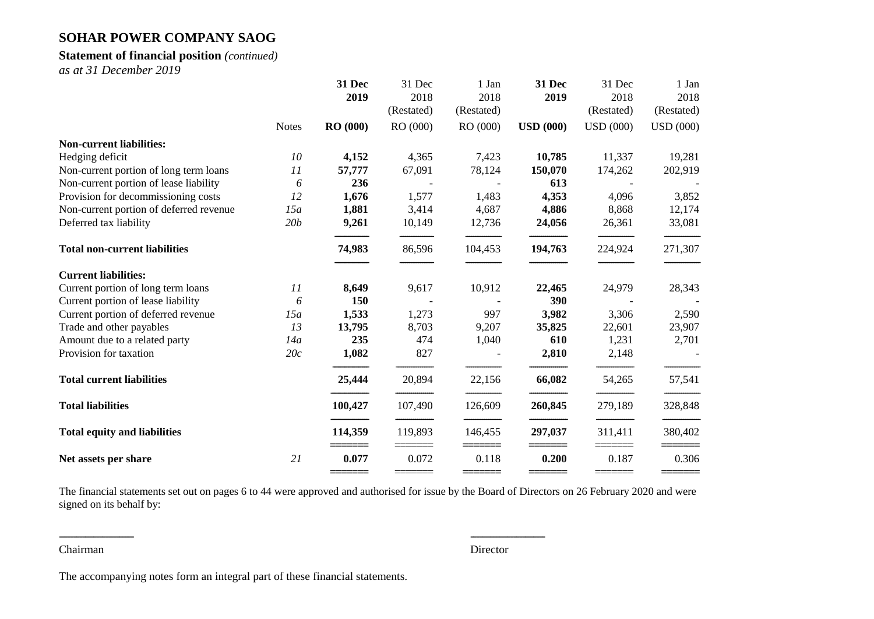## **Statement of financial position** *(continued)*

*as at 31 December 2019*

|                                         |              | 31 Dec          | 31 Dec                 | 1 Jan                      | 31 Dec           | 31 Dec           | 1 Jan            |
|-----------------------------------------|--------------|-----------------|------------------------|----------------------------|------------------|------------------|------------------|
|                                         |              | 2019            | 2018                   | 2018                       | 2019             | 2018             | 2018             |
|                                         |              |                 | (Restated)             | (Restated)                 |                  | (Restated)       | (Restated)       |
|                                         | <b>Notes</b> | <b>RO</b> (000) | RO (000)               | RO (000)                   | <b>USD</b> (000) | <b>USD</b> (000) | <b>USD</b> (000) |
| <b>Non-current liabilities:</b>         |              |                 |                        |                            |                  |                  |                  |
| Hedging deficit                         | 10           | 4,152           | 4,365                  | 7,423                      | 10,785           | 11,337           | 19,281           |
| Non-current portion of long term loans  | 11           | 57,777          | 67,091                 | 78,124                     | 150,070          | 174,262          | 202,919          |
| Non-current portion of lease liability  | 6            | 236             |                        |                            | 613              |                  |                  |
| Provision for decommissioning costs     | 12           | 1,676           | 1,577                  | 1,483                      | 4,353            | 4,096            | 3,852            |
| Non-current portion of deferred revenue | 15a          | 1,881           | 3,414                  | 4,687                      | 4,886            | 8,868            | 12,174           |
| Deferred tax liability                  | 20b          | 9,261           | 10,149                 | 12,736                     | 24,056           | 26,361           | 33,081           |
| <b>Total non-current liabilities</b>    |              | 74,983          | 86,596                 | 104,453                    | 194,763          | 224,924          | 271,307          |
| <b>Current liabilities:</b>             |              |                 |                        |                            |                  |                  |                  |
| Current portion of long term loans      | 11           | 8,649           | 9,617                  | 10,912                     | 22,465           | 24,979           | 28,343           |
| Current portion of lease liability      | 6            | 150             |                        |                            | 390              |                  |                  |
| Current portion of deferred revenue     | 15a          | 1,533           | 1,273                  | 997                        | 3,982            | 3,306            | 2,590            |
| Trade and other payables                | 13           | 13,795          | 8,703                  | 9,207                      | 35,825           | 22,601           | 23,907           |
| Amount due to a related party           | 14a          | 235             | 474                    | 1,040                      | 610              | 1,231            | 2,701            |
| Provision for taxation                  | 20c          | 1,082           | 827                    |                            | 2,810            | 2,148            |                  |
| <b>Total current liabilities</b>        |              | 25,444          | 20,894                 | 22,156                     | 66,082           | 54,265           | 57,541           |
| <b>Total liabilities</b>                |              | 100,427         | 107,490                | 126,609                    | 260,845          | 279,189          | 328,848          |
| <b>Total equity and liabilities</b>     |              | 114,359         | 119,893                | 146,455                    | 297,037          | 311,411          | 380,402          |
| Net assets per share                    | 21           | 0.077           | $\frac{1}{2}$<br>0.072 | $\equiv$ $\equiv$<br>0.118 | 0.200            | 0.187            | 0.306            |
|                                         |              |                 |                        |                            |                  |                  |                  |

The financial statements set out on pages 6 to 44 were approved and authorised for issue by the Board of Directors on 26 February 2020 and were signed on its behalf by:

Chairman Director

The accompanying notes form an integral part of these financial statements.

**-------------------------- --------------------------**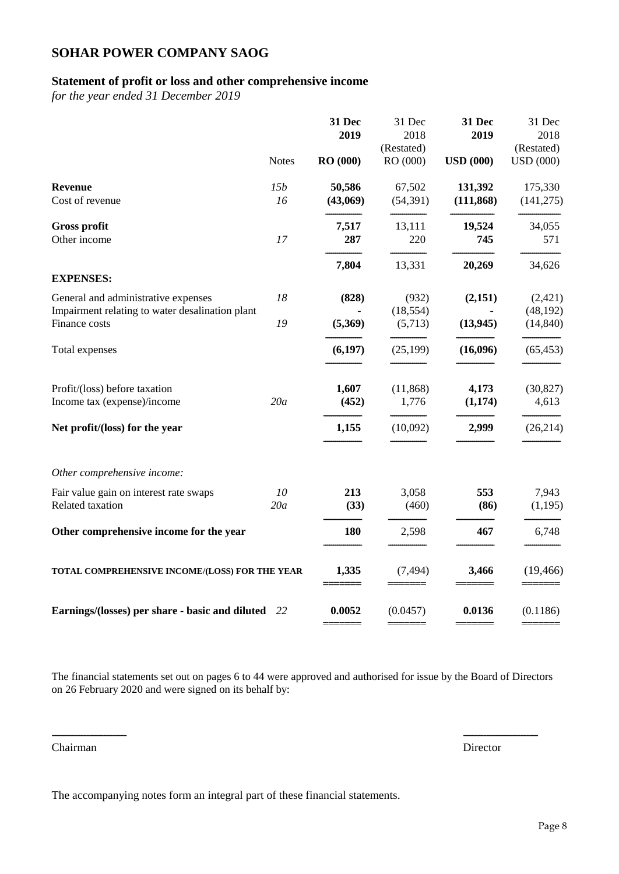## **Statement of profit or loss and other comprehensive income**

*for the year ended 31 December 2019*

|                                                                                        |              | 31 Dec<br>2019     | 31 Dec<br>2018<br>(Restated) | 31 Dec<br>2019        | 31 Dec<br>2018<br>(Restated) |
|----------------------------------------------------------------------------------------|--------------|--------------------|------------------------------|-----------------------|------------------------------|
|                                                                                        | <b>Notes</b> | <b>RO</b> (000)    | RO (000)                     | <b>USD</b> (000)      | <b>USD</b> (000)             |
| <b>Revenue</b><br>Cost of revenue                                                      | 15b<br>16    | 50,586<br>(43,069) | 67,502<br>(54, 391)          | 131,392<br>(111, 868) | 175,330<br>(141, 275)        |
| <b>Gross profit</b><br>Other income                                                    | 17           | 7,517<br>287       | 13,111<br>220                | 19,524<br>745         | 34,055<br>571                |
| <b>EXPENSES:</b>                                                                       |              | 7,804              | 13,331                       | 20,269                | 34,626                       |
| General and administrative expenses<br>Impairment relating to water desalination plant | 18           | (828)              | (932)<br>(18, 554)           | (2,151)               | (2,421)<br>(48, 192)         |
| Finance costs                                                                          | 19           | (5,369)            | (5,713)                      | (13, 945)             | (14, 840)                    |
| Total expenses                                                                         |              | (6, 197)           | (25, 199)                    | (16,096)              | (65, 453)                    |
| Profit/(loss) before taxation<br>Income tax (expense)/income                           | 20a          | 1,607<br>(452)     | (11, 868)<br>1,776           | 4,173<br>(1,174)      | (30, 827)<br>4,613           |
| Net profit/(loss) for the year                                                         |              | 1,155              | (10,092)                     | 2,999                 | (26, 214)                    |
| Other comprehensive income:                                                            |              |                    |                              |                       |                              |
| Fair value gain on interest rate swaps<br>Related taxation                             | 10<br>20a    | 213<br>(33)        | 3,058<br>(460)               | 553<br>(86)           | 7,943<br>(1,195)             |
| Other comprehensive income for the year                                                |              | 180                | 2,598                        | 467                   | 6,748                        |
| TOTAL COMPREHENSIVE INCOME/(LOSS) FOR THE YEAR                                         |              | 1,335              | (7, 494)                     | 3,466                 | (19, 466)                    |
| Earnings/(losses) per share - basic and diluted 22                                     |              | 0.0052             | (0.0457)                     | 0.0136                | (0.1186)                     |

The financial statements set out on pages 6 to 44 were approved and authorised for issue by the Board of Directors on 26 February 2020 and were signed on its behalf by:

**-------------------------- --------------------------**

Chairman Director

The accompanying notes form an integral part of these financial statements.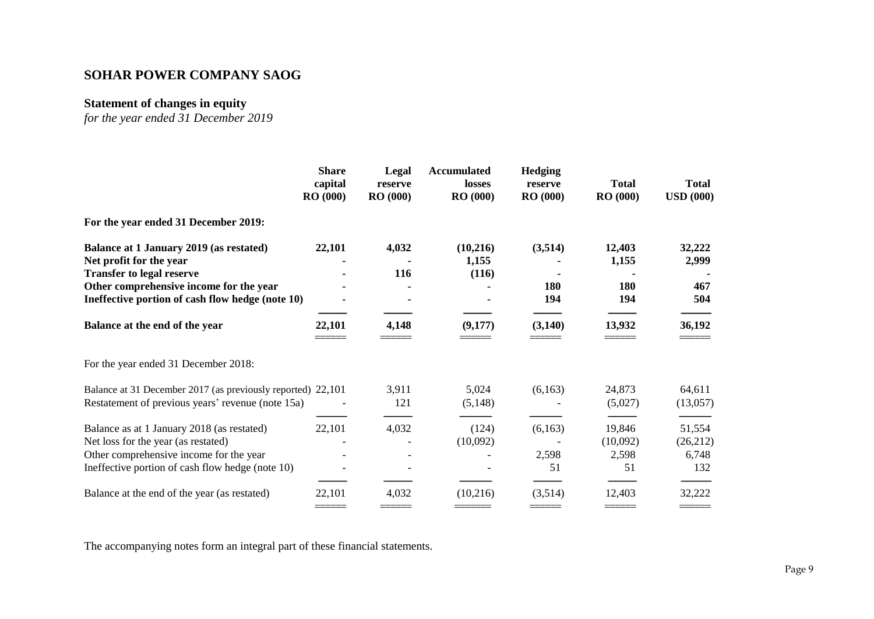## **Statement of changes in equity**

*for the year ended 31 December 2019*

|                                                                                                                                                                                                              | <b>Share</b><br>capital<br><b>RO</b> (000) | Legal<br>reserve<br><b>RO</b> (000) | <b>Accumulated</b><br>losses<br><b>RO</b> (000) | <b>Hedging</b><br>reserve<br>RO(000) | <b>Total</b><br><b>RO</b> (000)   | <b>Total</b><br><b>USD</b> (000)    |
|--------------------------------------------------------------------------------------------------------------------------------------------------------------------------------------------------------------|--------------------------------------------|-------------------------------------|-------------------------------------------------|--------------------------------------|-----------------------------------|-------------------------------------|
| For the year ended 31 December 2019:                                                                                                                                                                         |                                            |                                     |                                                 |                                      |                                   |                                     |
| <b>Balance at 1 January 2019 (as restated)</b><br>Net profit for the year<br><b>Transfer to legal reserve</b><br>Other comprehensive income for the year<br>Ineffective portion of cash flow hedge (note 10) | 22,101                                     | 4,032<br>116                        | (10,216)<br>1,155<br>(116)                      | (3,514)<br>180<br>194                | 12,403<br>1,155<br>180<br>194     | 32,222<br>2,999<br>467<br>504       |
| Balance at the end of the year                                                                                                                                                                               | 22,101                                     | 4,148                               | (9,177)                                         | (3,140)                              | 13,932                            | 36,192                              |
| For the year ended 31 December 2018:                                                                                                                                                                         |                                            |                                     |                                                 |                                      |                                   |                                     |
| Balance at 31 December 2017 (as previously reported) 22,101<br>Restatement of previous years' revenue (note 15a)                                                                                             |                                            | 3,911<br>121                        | 5,024<br>(5,148)                                | (6,163)                              | 24,873<br>(5,027)                 | 64,611<br>(13,057)                  |
| Balance as at 1 January 2018 (as restated)<br>Net loss for the year (as restated)<br>Other comprehensive income for the year<br>Ineffective portion of cash flow hedge (note 10)                             | 22,101                                     | 4,032                               | (124)<br>(10,092)                               | (6,163)<br>2,598<br>51               | 19,846<br>(10,092)<br>2,598<br>51 | 51,554<br>(26, 212)<br>6,748<br>132 |
| Balance at the end of the year (as restated)                                                                                                                                                                 | 22,101                                     | 4,032                               | (10,216)                                        | (3,514)                              | 12,403                            | 32,222                              |

The accompanying notes form an integral part of these financial statements.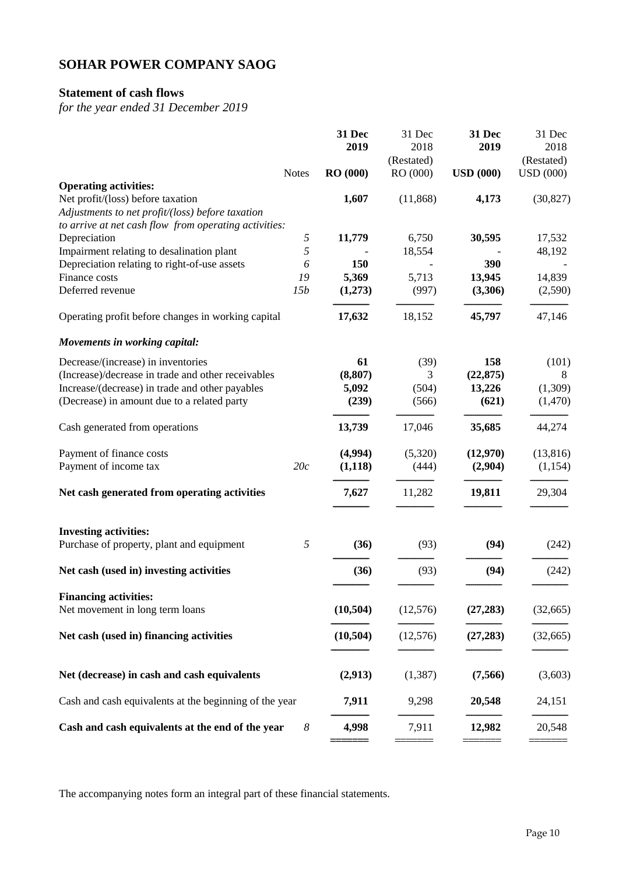## **Statement of cash flows**

*for the year ended 31 December 2019*

|                                                        |                  | 31 Dec          | 31 Dec             | 31 Dec           | 31 Dec             |
|--------------------------------------------------------|------------------|-----------------|--------------------|------------------|--------------------|
|                                                        |                  | 2019            | 2018<br>(Restated) | 2019             | 2018<br>(Restated) |
|                                                        | <b>Notes</b>     | <b>RO</b> (000) | RO (000)           | <b>USD</b> (000) | <b>USD</b> (000)   |
| <b>Operating activities:</b>                           |                  |                 |                    |                  |                    |
| Net profit/(loss) before taxation                      |                  | 1,607           | (11,868)           | 4,173            | (30, 827)          |
| Adjustments to net profit/(loss) before taxation       |                  |                 |                    |                  |                    |
| to arrive at net cash flow from operating activities:  |                  |                 |                    |                  |                    |
| Depreciation                                           | 5                | 11,779          | 6,750              | 30,595           | 17,532             |
| Impairment relating to desalination plant              | 5                |                 | 18,554             |                  | 48,192             |
| Depreciation relating to right-of-use assets           | 6                | 150             |                    | 390              |                    |
| Finance costs                                          | 19               | 5,369           | 5,713              | 13,945           | 14,839             |
| Deferred revenue                                       | 15b              | (1,273)         | (997)              | (3,306)          | (2,590)            |
| Operating profit before changes in working capital     |                  | 17,632          | 18,152             | 45,797           | 47,146             |
| Movements in working capital:                          |                  |                 |                    |                  |                    |
| Decrease/(increase) in inventories                     |                  | 61              | (39)               | 158              | (101)              |
| (Increase)/decrease in trade and other receivables     |                  | (8,807)         | 3                  | (22, 875)        | 8                  |
| Increase/(decrease) in trade and other payables        |                  | 5,092           | (504)              | 13,226           | (1,309)            |
| (Decrease) in amount due to a related party            |                  | (239)           | (566)              | (621)            | (1,470)            |
| Cash generated from operations                         |                  | 13,739          | 17,046             | 35,685           | 44,274             |
| Payment of finance costs                               |                  | (4,994)         | (5,320)            | (12,970)         | (13, 816)          |
| Payment of income tax                                  | 20c              | (1, 118)        | (444)              | (2,904)          | (1,154)            |
| Net cash generated from operating activities           |                  | 7,627           | 11,282             | 19,811           | 29,304             |
|                                                        |                  |                 |                    |                  |                    |
| <b>Investing activities:</b>                           |                  |                 |                    |                  |                    |
| Purchase of property, plant and equipment              | 5                | (36)            | (93)               | (94)             | (242)              |
| Net cash (used in) investing activities                |                  | (36)            | (93)               | (94)             | (242)              |
|                                                        |                  |                 |                    |                  |                    |
| <b>Financing activities:</b>                           |                  |                 |                    |                  |                    |
| Net movement in long term loans                        |                  | (10, 504)       | (12,576)           | (27, 283)        | (32,665)           |
| Net cash (used in) financing activities                |                  | (10, 504)       | (12,576)           | (27, 283)        | (32, 665)          |
|                                                        |                  |                 |                    |                  |                    |
| Net (decrease) in cash and cash equivalents            |                  | (2,913)         | (1,387)            | (7,566)          | (3,603)            |
| Cash and cash equivalents at the beginning of the year |                  | 7,911           | 9,298              | 20,548           | 24,151             |
| Cash and cash equivalents at the end of the year       | $\boldsymbol{8}$ | 4,998           | 7,911              | 12,982           | 20,548             |
|                                                        |                  |                 |                    |                  |                    |

The accompanying notes form an integral part of these financial statements.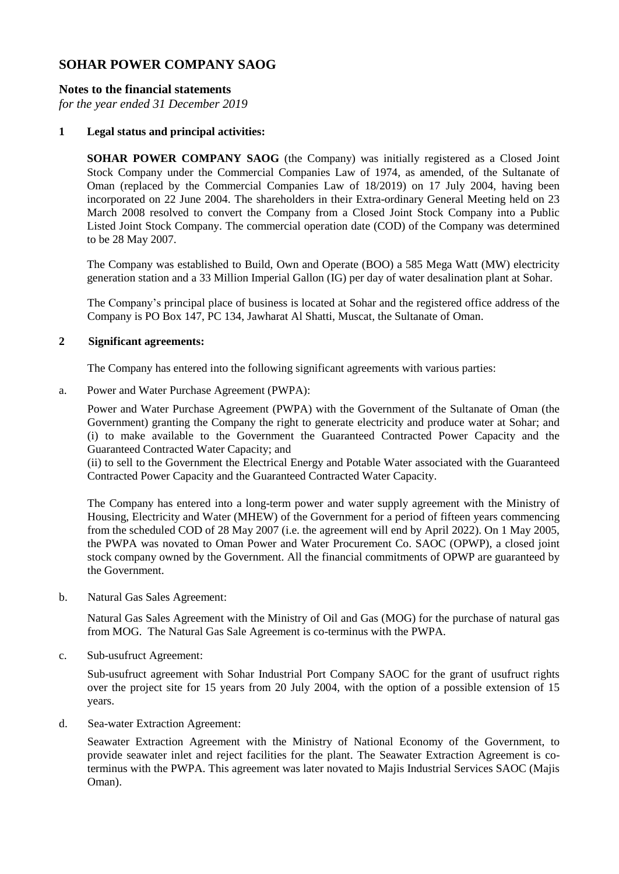## **Notes to the financial statements**

*for the year ended 31 December 2019*

### **1 Legal status and principal activities:**

**SOHAR POWER COMPANY SAOG** (the Company) was initially registered as a Closed Joint Stock Company under the Commercial Companies Law of 1974, as amended, of the Sultanate of Oman (replaced by the Commercial Companies Law of 18/2019) on 17 July 2004, having been incorporated on 22 June 2004. The shareholders in their Extra-ordinary General Meeting held on 23 March 2008 resolved to convert the Company from a Closed Joint Stock Company into a Public Listed Joint Stock Company. The commercial operation date (COD) of the Company was determined to be 28 May 2007.

The Company was established to Build, Own and Operate (BOO) a 585 Mega Watt (MW) electricity generation station and a 33 Million Imperial Gallon (IG) per day of water desalination plant at Sohar.

The Company's principal place of business is located at Sohar and the registered office address of the Company is PO Box 147, PC 134, Jawharat Al Shatti, Muscat, the Sultanate of Oman.

### **2 Significant agreements:**

The Company has entered into the following significant agreements with various parties:

a. Power and Water Purchase Agreement (PWPA):

Power and Water Purchase Agreement (PWPA) with the Government of the Sultanate of Oman (the Government) granting the Company the right to generate electricity and produce water at Sohar; and (i) to make available to the Government the Guaranteed Contracted Power Capacity and the Guaranteed Contracted Water Capacity; and

(ii) to sell to the Government the Electrical Energy and Potable Water associated with the Guaranteed Contracted Power Capacity and the Guaranteed Contracted Water Capacity.

The Company has entered into a long-term power and water supply agreement with the Ministry of Housing, Electricity and Water (MHEW) of the Government for a period of fifteen years commencing from the scheduled COD of 28 May 2007 (i.e. the agreement will end by April 2022). On 1 May 2005, the PWPA was novated to Oman Power and Water Procurement Co. SAOC (OPWP), a closed joint stock company owned by the Government. All the financial commitments of OPWP are guaranteed by the Government.

b. Natural Gas Sales Agreement:

Natural Gas Sales Agreement with the Ministry of Oil and Gas (MOG) for the purchase of natural gas from MOG. The Natural Gas Sale Agreement is co-terminus with the PWPA.

c. Sub-usufruct Agreement:

Sub-usufruct agreement with Sohar Industrial Port Company SAOC for the grant of usufruct rights over the project site for 15 years from 20 July 2004, with the option of a possible extension of 15 years.

d. Sea-water Extraction Agreement:

Seawater Extraction Agreement with the Ministry of National Economy of the Government, to provide seawater inlet and reject facilities for the plant. The Seawater Extraction Agreement is coterminus with the PWPA. This agreement was later novated to Majis Industrial Services SAOC (Majis Oman).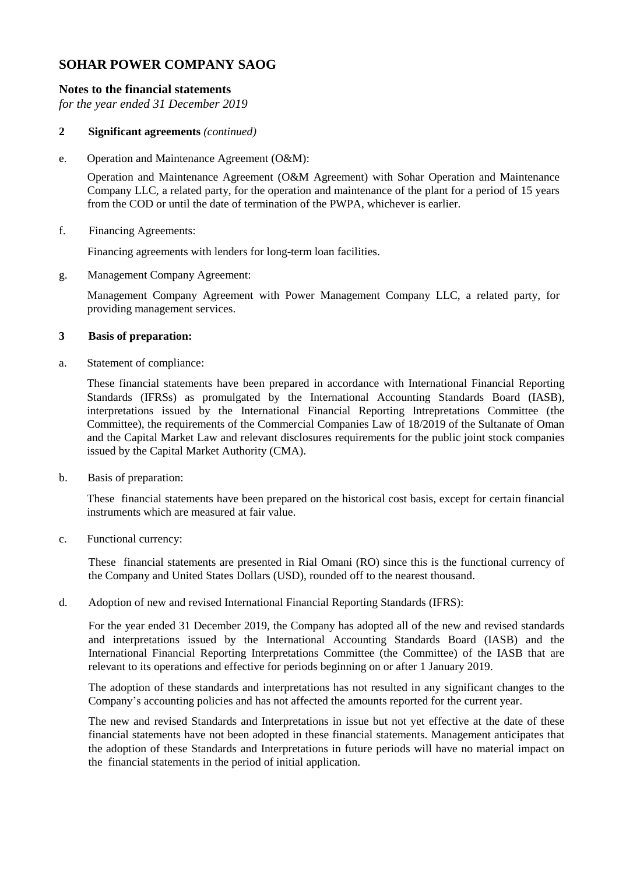## **Notes to the financial statements**

*for the year ended 31 December 2019*

### **2 Significant agreements** *(continued)*

e. Operation and Maintenance Agreement (O&M):

Operation and Maintenance Agreement (O&M Agreement) with Sohar Operation and Maintenance Company LLC, a related party, for the operation and maintenance of the plant for a period of 15 years from the COD or until the date of termination of the PWPA, whichever is earlier.

f. Financing Agreements:

Financing agreements with lenders for long-term loan facilities.

g. Management Company Agreement:

Management Company Agreement with Power Management Company LLC, a related party, for providing management services.

#### **3 Basis of preparation:**

a. Statement of compliance:

These financial statements have been prepared in accordance with International Financial Reporting Standards (IFRSs) as promulgated by the International Accounting Standards Board (IASB), interpretations issued by the International Financial Reporting Intrepretations Committee (the Committee), the requirements of the Commercial Companies Law of 18/2019 of the Sultanate of Oman and the Capital Market Law and relevant disclosures requirements for the public joint stock companies issued by the Capital Market Authority (CMA).

b. Basis of preparation:

These financial statements have been prepared on the historical cost basis, except for certain financial instruments which are measured at fair value.

c. Functional currency:

These financial statements are presented in Rial Omani (RO) since this is the functional currency of the Company and United States Dollars (USD), rounded off to the nearest thousand.

d. Adoption of new and revised International Financial Reporting Standards (IFRS):

For the year ended 31 December 2019, the Company has adopted all of the new and revised standards and interpretations issued by the International Accounting Standards Board (IASB) and the International Financial Reporting Interpretations Committee (the Committee) of the IASB that are relevant to its operations and effective for periods beginning on or after 1 January 2019.

The adoption of these standards and interpretations has not resulted in any significant changes to the Company's accounting policies and has not affected the amounts reported for the current year.

The new and revised Standards and Interpretations in issue but not yet effective at the date of these financial statements have not been adopted in these financial statements. Management anticipates that the adoption of these Standards and Interpretations in future periods will have no material impact on the financial statements in the period of initial application.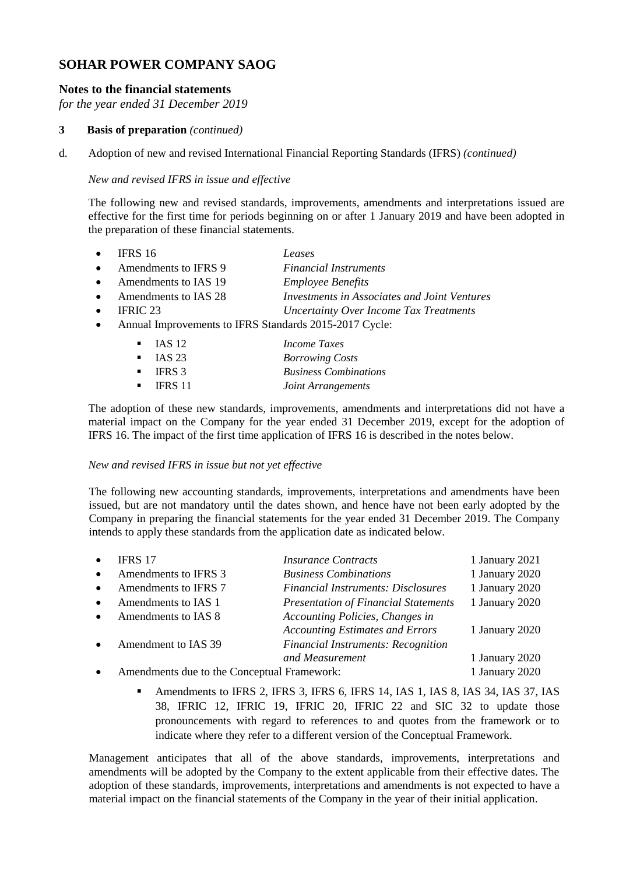## **Notes to the financial statements**

*for the year ended 31 December 2019*

#### **3 Basis of preparation** *(continued)*

d. Adoption of new and revised International Financial Reporting Standards (IFRS) *(continued)*

#### *New and revised IFRS in issue and effective*

The following new and revised standards, improvements, amendments and interpretations issued are effective for the first time for periods beginning on or after 1 January 2019 and have been adopted in the preparation of these financial statements.

- IFRS 16 *Leases*
- Amendments to IFRS 9 *Financial Instruments*
	- Amendments to IAS 19 *Employee Benefits*
- Amendments to IAS 28 *Investments in Associates and Joint Ventures*
	- IFRIC 23 *Uncertainty Over Income Tax Treatments*
- Annual Improvements to IFRS Standards 2015-2017 Cycle:

|                | $\blacksquare$ IAS 12 | <i>Income Taxes</i>          |
|----------------|-----------------------|------------------------------|
|                | $\blacksquare$ IAS 23 | <b>Borrowing Costs</b>       |
|                | $\blacksquare$ IFRS 3 | <b>Business Combinations</b> |
| $\blacksquare$ | <b>IFRS 11</b>        | Joint Arrangements           |

The adoption of these new standards, improvements, amendments and interpretations did not have a material impact on the Company for the year ended 31 December 2019, except for the adoption of IFRS 16. The impact of the first time application of IFRS 16 is described in the notes below.

#### *New and revised IFRS in issue but not yet effective*

The following new accounting standards, improvements, interpretations and amendments have been issued, but are not mandatory until the dates shown, and hence have not been early adopted by the Company in preparing the financial statements for the year ended 31 December 2019. The Company intends to apply these standards from the application date as indicated below.

| $\bullet$ | <b>IFRS 17</b>                              | <b>Insurance Contracts</b>                  | 1 January 2021 |
|-----------|---------------------------------------------|---------------------------------------------|----------------|
| $\bullet$ | Amendments to IFRS 3                        | <b>Business Combinations</b>                | 1 January 2020 |
| $\bullet$ | Amendments to IFRS 7                        | <b>Financial Instruments: Disclosures</b>   | 1 January 2020 |
| $\bullet$ | Amendments to IAS 1                         | <b>Presentation of Financial Statements</b> | 1 January 2020 |
| $\bullet$ | Amendments to IAS 8                         | Accounting Policies, Changes in             |                |
|           |                                             | <b>Accounting Estimates and Errors</b>      | 1 January 2020 |
| $\bullet$ | Amendment to IAS 39                         | <b>Financial Instruments: Recognition</b>   |                |
|           |                                             | and Measurement                             | 1 January 2020 |
| $\bullet$ | Amendments due to the Conceptual Framework: |                                             | 1 January 2020 |

 Amendments to IFRS 2, IFRS 3, IFRS 6, IFRS 14, IAS 1, IAS 8, IAS 34, IAS 37, IAS 38, IFRIC 12, IFRIC 19, IFRIC 20, IFRIC 22 and SIC 32 to update those pronouncements with regard to references to and quotes from the framework or to indicate where they refer to a different version of the Conceptual Framework.

Management anticipates that all of the above standards, improvements, interpretations and amendments will be adopted by the Company to the extent applicable from their effective dates. The adoption of these standards, improvements, interpretations and amendments is not expected to have a material impact on the financial statements of the Company in the year of their initial application.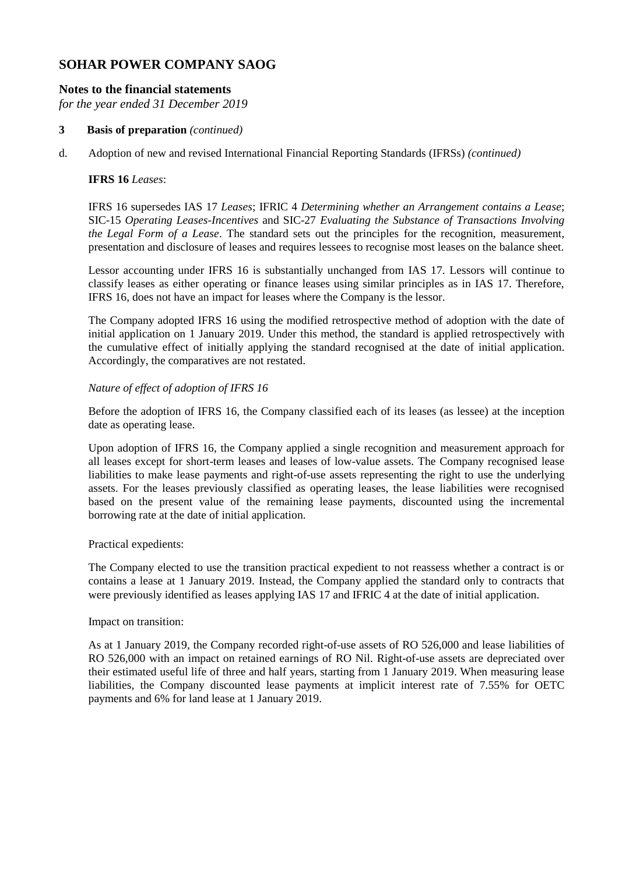## **Notes to the financial statements**

*for the year ended 31 December 2019*

#### **3 Basis of preparation** *(continued)*

d. Adoption of new and revised International Financial Reporting Standards (IFRSs) *(continued)*

#### **IFRS 16** *Leases*:

IFRS 16 supersedes IAS 17 *Leases*; IFRIC 4 *Determining whether an Arrangement contains a Lease*; SIC-15 *Operating Leases-Incentives* and SIC-27 *Evaluating the Substance of Transactions Involving the Legal Form of a Lease*. The standard sets out the principles for the recognition, measurement, presentation and disclosure of leases and requires lessees to recognise most leases on the balance sheet.

Lessor accounting under IFRS 16 is substantially unchanged from IAS 17. Lessors will continue to classify leases as either operating or finance leases using similar principles as in IAS 17. Therefore, IFRS 16, does not have an impact for leases where the Company is the lessor.

The Company adopted IFRS 16 using the modified retrospective method of adoption with the date of initial application on 1 January 2019. Under this method, the standard is applied retrospectively with the cumulative effect of initially applying the standard recognised at the date of initial application. Accordingly, the comparatives are not restated.

### *Nature of effect of adoption of IFRS 16*

Before the adoption of IFRS 16, the Company classified each of its leases (as lessee) at the inception date as operating lease.

Upon adoption of IFRS 16, the Company applied a single recognition and measurement approach for all leases except for short-term leases and leases of low-value assets. The Company recognised lease liabilities to make lease payments and right-of-use assets representing the right to use the underlying assets. For the leases previously classified as operating leases, the lease liabilities were recognised based on the present value of the remaining lease payments, discounted using the incremental borrowing rate at the date of initial application.

#### Practical expedients:

The Company elected to use the transition practical expedient to not reassess whether a contract is or contains a lease at 1 January 2019. Instead, the Company applied the standard only to contracts that were previously identified as leases applying IAS 17 and IFRIC 4 at the date of initial application.

#### Impact on transition:

As at 1 January 2019, the Company recorded right-of-use assets of RO 526,000 and lease liabilities of RO 526,000 with an impact on retained earnings of RO Nil. Right-of-use assets are depreciated over their estimated useful life of three and half years, starting from 1 January 2019. When measuring lease liabilities, the Company discounted lease payments at implicit interest rate of 7.55% for OETC payments and 6% for land lease at 1 January 2019.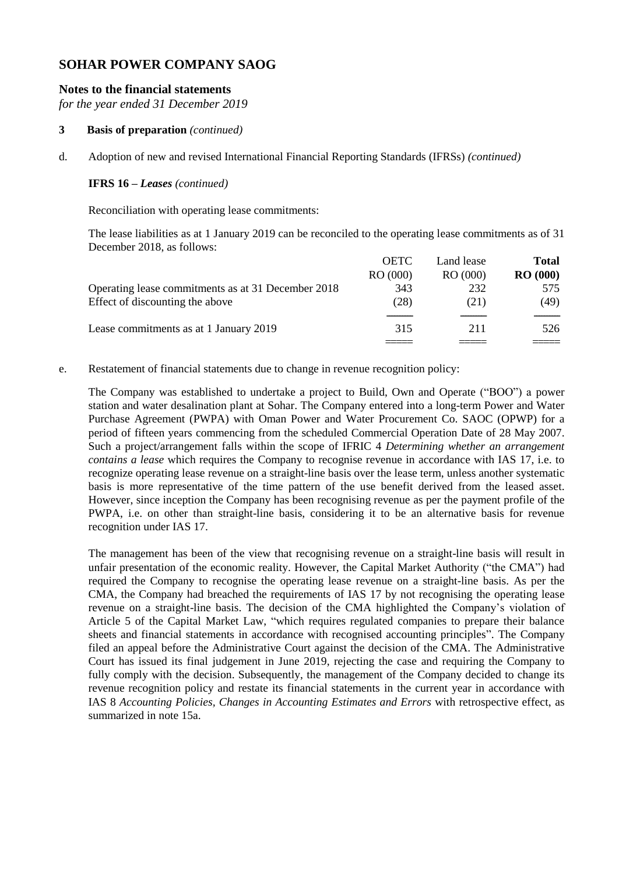## **Notes to the financial statements**

*for the year ended 31 December 2019*

#### **3 Basis of preparation** *(continued)*

d. Adoption of new and revised International Financial Reporting Standards (IFRSs) *(continued)*

### **IFRS 16 –** *Leases (continued)*

Reconciliation with operating lease commitments:

The lease liabilities as at 1 January 2019 can be reconciled to the operating lease commitments as of 31 December 2018, as follows:

|                                                    | <b>OETC</b> | Land lease | <b>Total</b> |
|----------------------------------------------------|-------------|------------|--------------|
|                                                    | RO (000)    | RO (000)   | RO(000)      |
| Operating lease commitments as at 31 December 2018 | 343         | 232        | 575          |
| Effect of discounting the above                    | (28)        | (21)       | (49)         |
|                                                    |             |            |              |
| Lease commitments as at 1 January 2019             | 315         | 211        | 526          |
|                                                    |             |            |              |

e. Restatement of financial statements due to change in revenue recognition policy:

The Company was established to undertake a project to Build, Own and Operate ("BOO") a power station and water desalination plant at Sohar. The Company entered into a long-term Power and Water Purchase Agreement (PWPA) with Oman Power and Water Procurement Co. SAOC (OPWP) for a period of fifteen years commencing from the scheduled Commercial Operation Date of 28 May 2007. Such a project/arrangement falls within the scope of IFRIC 4 *Determining whether an arrangement contains a lease* which requires the Company to recognise revenue in accordance with IAS 17, i.e. to recognize operating lease revenue on a straight-line basis over the lease term, unless another systematic basis is more representative of the time pattern of the use benefit derived from the leased asset. However, since inception the Company has been recognising revenue as per the payment profile of the PWPA, i.e. on other than straight-line basis, considering it to be an alternative basis for revenue recognition under IAS 17.

The management has been of the view that recognising revenue on a straight-line basis will result in unfair presentation of the economic reality. However, the Capital Market Authority ("the CMA") had required the Company to recognise the operating lease revenue on a straight-line basis. As per the CMA, the Company had breached the requirements of IAS 17 by not recognising the operating lease revenue on a straight-line basis. The decision of the CMA highlighted the Company's violation of Article 5 of the Capital Market Law, "which requires regulated companies to prepare their balance sheets and financial statements in accordance with recognised accounting principles". The Company filed an appeal before the Administrative Court against the decision of the CMA. The Administrative Court has issued its final judgement in June 2019, rejecting the case and requiring the Company to fully comply with the decision. Subsequently, the management of the Company decided to change its revenue recognition policy and restate its financial statements in the current year in accordance with IAS 8 *Accounting Policies, Changes in Accounting Estimates and Errors* with retrospective effect, as summarized in note 15a.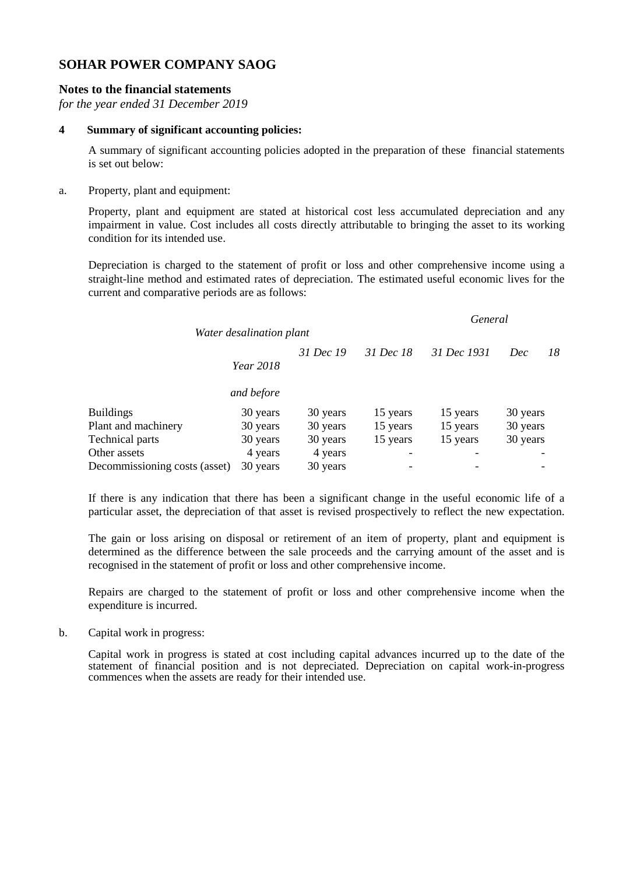### **Notes to the financial statements**

*for the year ended 31 December 2019*

#### **4 Summary of significant accounting policies:**

A summary of significant accounting policies adopted in the preparation of these financial statements is set out below:

#### a. Property, plant and equipment:

Property, plant and equipment are stated at historical cost less accumulated depreciation and any impairment in value. Cost includes all costs directly attributable to bringing the asset to its working condition for its intended use.

Depreciation is charged to the statement of profit or loss and other comprehensive income using a straight-line method and estimated rates of depreciation. The estimated useful economic lives for the current and comparative periods are as follows:

|                               |                  |           |           | General     |          |    |
|-------------------------------|------------------|-----------|-----------|-------------|----------|----|
| Water desalination plant      |                  |           |           |             |          |    |
|                               |                  | 31 Dec 19 | 31 Dec 18 | 31 Dec 1931 | Dec      | 18 |
|                               | <i>Year</i> 2018 |           |           |             |          |    |
|                               | and before       |           |           |             |          |    |
| <b>Buildings</b>              | 30 years         | 30 years  | 15 years  | 15 years    | 30 years |    |
| Plant and machinery           | 30 years         | 30 years  | 15 years  | 15 years    | 30 years |    |
| Technical parts               | 30 years         | 30 years  | 15 years  | 15 years    | 30 years |    |
| Other assets                  | 4 years          | 4 years   |           |             |          |    |
| Decommissioning costs (asset) | 30 years         | 30 years  |           |             |          |    |

If there is any indication that there has been a significant change in the useful economic life of a particular asset, the depreciation of that asset is revised prospectively to reflect the new expectation.

The gain or loss arising on disposal or retirement of an item of property, plant and equipment is determined as the difference between the sale proceeds and the carrying amount of the asset and is recognised in the statement of profit or loss and other comprehensive income.

Repairs are charged to the statement of profit or loss and other comprehensive income when the expenditure is incurred.

#### b. Capital work in progress:

Capital work in progress is stated at cost including capital advances incurred up to the date of the statement of financial position and is not depreciated. Depreciation on capital work-in-progress commences when the assets are ready for their intended use.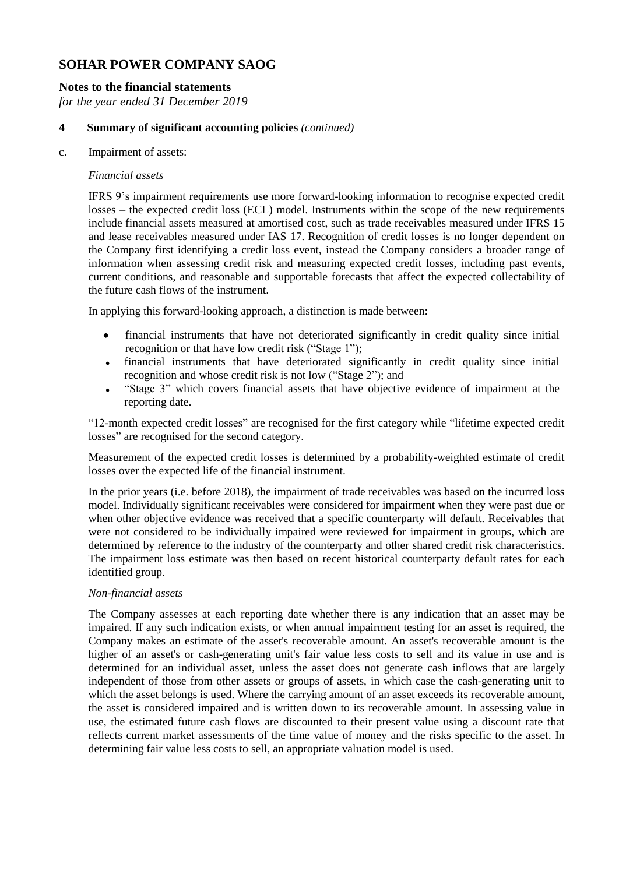## **Notes to the financial statements**

*for the year ended 31 December 2019*

## **4 Summary of significant accounting policies** *(continued)*

c. Impairment of assets:

#### *Financial assets*

IFRS 9's impairment requirements use more forward-looking information to recognise expected credit losses – the expected credit loss (ECL) model. Instruments within the scope of the new requirements include financial assets measured at amortised cost, such as trade receivables measured under IFRS 15 and lease receivables measured under IAS 17. Recognition of credit losses is no longer dependent on the Company first identifying a credit loss event, instead the Company considers a broader range of information when assessing credit risk and measuring expected credit losses, including past events, current conditions, and reasonable and supportable forecasts that affect the expected collectability of the future cash flows of the instrument.

In applying this forward-looking approach, a distinction is made between:

- financial instruments that have not deteriorated significantly in credit quality since initial recognition or that have low credit risk ("Stage 1");
- financial instruments that have deteriorated significantly in credit quality since initial recognition and whose credit risk is not low ("Stage 2"); and
- "Stage 3" which covers financial assets that have objective evidence of impairment at the reporting date.

"12-month expected credit losses" are recognised for the first category while "lifetime expected credit losses" are recognised for the second category.

Measurement of the expected credit losses is determined by a probability-weighted estimate of credit losses over the expected life of the financial instrument.

In the prior years (i.e. before 2018), the impairment of trade receivables was based on the incurred loss model. Individually significant receivables were considered for impairment when they were past due or when other objective evidence was received that a specific counterparty will default. Receivables that were not considered to be individually impaired were reviewed for impairment in groups, which are determined by reference to the industry of the counterparty and other shared credit risk characteristics. The impairment loss estimate was then based on recent historical counterparty default rates for each identified group.

#### *Non-financial assets*

The Company assesses at each reporting date whether there is any indication that an asset may be impaired. If any such indication exists, or when annual impairment testing for an asset is required, the Company makes an estimate of the asset's recoverable amount. An asset's recoverable amount is the higher of an asset's or cash-generating unit's fair value less costs to sell and its value in use and is determined for an individual asset, unless the asset does not generate cash inflows that are largely independent of those from other assets or groups of assets, in which case the cash-generating unit to which the asset belongs is used. Where the carrying amount of an asset exceeds its recoverable amount, the asset is considered impaired and is written down to its recoverable amount. In assessing value in use, the estimated future cash flows are discounted to their present value using a discount rate that reflects current market assessments of the time value of money and the risks specific to the asset. In determining fair value less costs to sell, an appropriate valuation model is used.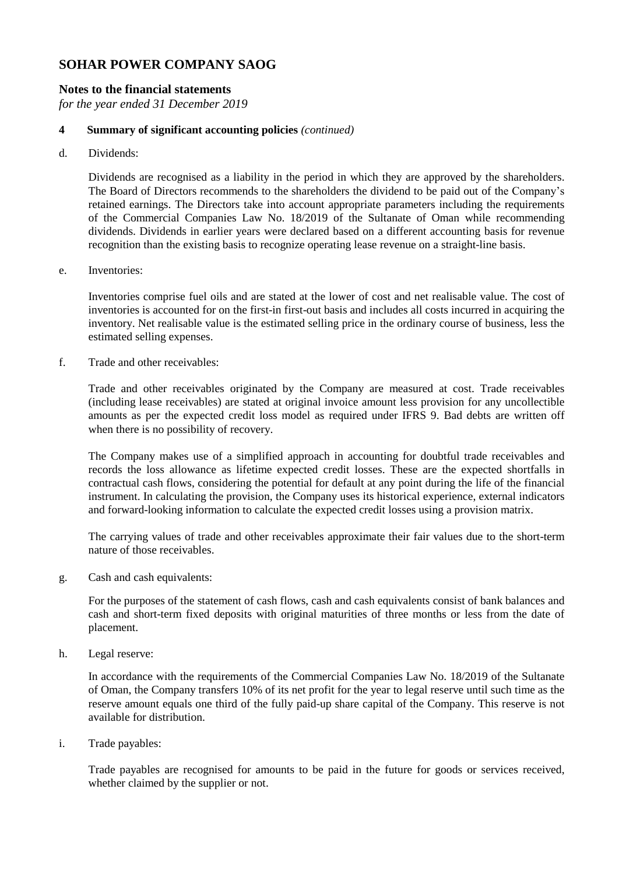## **Notes to the financial statements**

*for the year ended 31 December 2019*

### **4 Summary of significant accounting policies** *(continued)*

d. Dividends:

Dividends are recognised as a liability in the period in which they are approved by the shareholders. The Board of Directors recommends to the shareholders the dividend to be paid out of the Company's retained earnings. The Directors take into account appropriate parameters including the requirements of the Commercial Companies Law No. 18/2019 of the Sultanate of Oman while recommending dividends. Dividends in earlier years were declared based on a different accounting basis for revenue recognition than the existing basis to recognize operating lease revenue on a straight-line basis.

e. Inventories:

Inventories comprise fuel oils and are stated at the lower of cost and net realisable value. The cost of inventories is accounted for on the first-in first-out basis and includes all costs incurred in acquiring the inventory. Net realisable value is the estimated selling price in the ordinary course of business, less the estimated selling expenses.

f. Trade and other receivables:

Trade and other receivables originated by the Company are measured at cost. Trade receivables (including lease receivables) are stated at original invoice amount less provision for any uncollectible amounts as per the expected credit loss model as required under IFRS 9. Bad debts are written off when there is no possibility of recovery.

The Company makes use of a simplified approach in accounting for doubtful trade receivables and records the loss allowance as lifetime expected credit losses. These are the expected shortfalls in contractual cash flows, considering the potential for default at any point during the life of the financial instrument. In calculating the provision, the Company uses its historical experience, external indicators and forward-looking information to calculate the expected credit losses using a provision matrix.

The carrying values of trade and other receivables approximate their fair values due to the short-term nature of those receivables.

g. Cash and cash equivalents:

For the purposes of the statement of cash flows, cash and cash equivalents consist of bank balances and cash and short-term fixed deposits with original maturities of three months or less from the date of placement.

h. Legal reserve:

In accordance with the requirements of the Commercial Companies Law No. 18/2019 of the Sultanate of Oman, the Company transfers 10% of its net profit for the year to legal reserve until such time as the reserve amount equals one third of the fully paid-up share capital of the Company. This reserve is not available for distribution.

i. Trade payables:

Trade payables are recognised for amounts to be paid in the future for goods or services received, whether claimed by the supplier or not.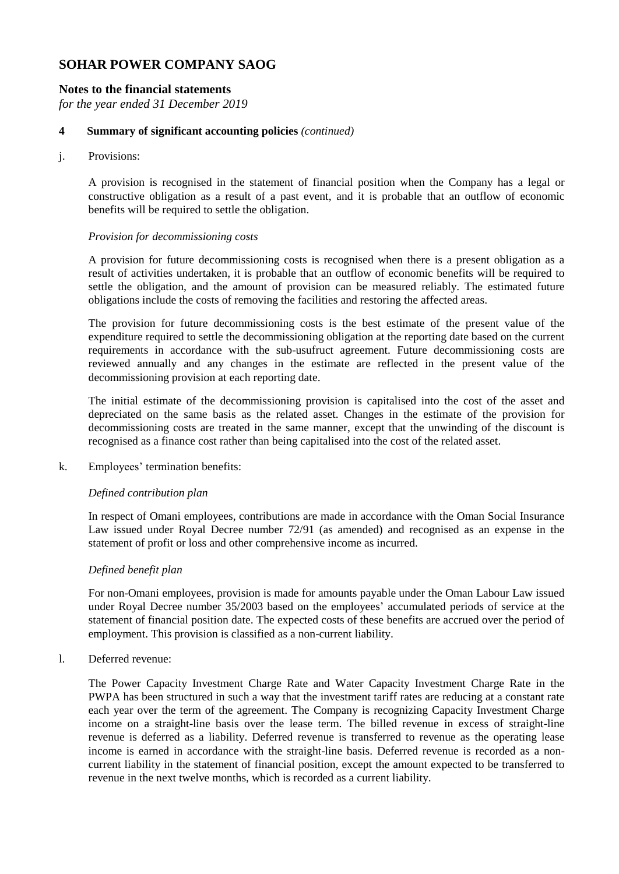## **Notes to the financial statements**

*for the year ended 31 December 2019*

### **4 Summary of significant accounting policies** *(continued)*

j. Provisions:

A provision is recognised in the statement of financial position when the Company has a legal or constructive obligation as a result of a past event, and it is probable that an outflow of economic benefits will be required to settle the obligation.

#### *Provision for decommissioning costs*

A provision for future decommissioning costs is recognised when there is a present obligation as a result of activities undertaken, it is probable that an outflow of economic benefits will be required to settle the obligation, and the amount of provision can be measured reliably. The estimated future obligations include the costs of removing the facilities and restoring the affected areas.

The provision for future decommissioning costs is the best estimate of the present value of the expenditure required to settle the decommissioning obligation at the reporting date based on the current requirements in accordance with the sub-usufruct agreement. Future decommissioning costs are reviewed annually and any changes in the estimate are reflected in the present value of the decommissioning provision at each reporting date.

The initial estimate of the decommissioning provision is capitalised into the cost of the asset and depreciated on the same basis as the related asset. Changes in the estimate of the provision for decommissioning costs are treated in the same manner, except that the unwinding of the discount is recognised as a finance cost rather than being capitalised into the cost of the related asset.

k. Employees' termination benefits:

#### *Defined contribution plan*

In respect of Omani employees, contributions are made in accordance with the Oman Social Insurance Law issued under Royal Decree number 72/91 (as amended) and recognised as an expense in the statement of profit or loss and other comprehensive income as incurred.

#### *Defined benefit plan*

For non-Omani employees, provision is made for amounts payable under the Oman Labour Law issued under Royal Decree number 35/2003 based on the employees' accumulated periods of service at the statement of financial position date. The expected costs of these benefits are accrued over the period of employment. This provision is classified as a non-current liability.

l. Deferred revenue:

The Power Capacity Investment Charge Rate and Water Capacity Investment Charge Rate in the PWPA has been structured in such a way that the investment tariff rates are reducing at a constant rate each year over the term of the agreement. The Company is recognizing Capacity Investment Charge income on a straight-line basis over the lease term. The billed revenue in excess of straight-line revenue is deferred as a liability. Deferred revenue is transferred to revenue as the operating lease income is earned in accordance with the straight-line basis. Deferred revenue is recorded as a noncurrent liability in the statement of financial position, except the amount expected to be transferred to revenue in the next twelve months, which is recorded as a current liability.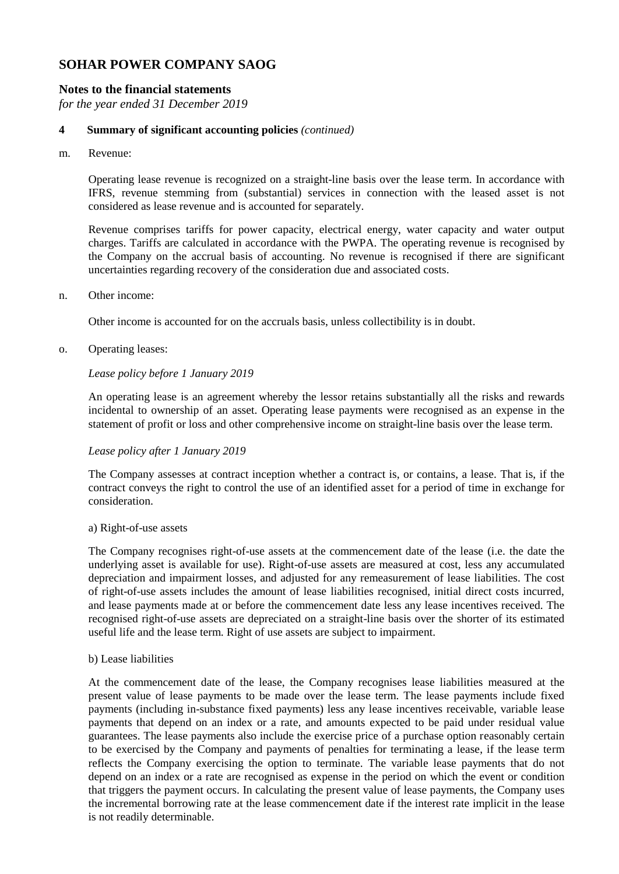## **Notes to the financial statements**

*for the year ended 31 December 2019*

### **4 Summary of significant accounting policies** *(continued)*

m. Revenue:

Operating lease revenue is recognized on a straight-line basis over the lease term. In accordance with IFRS, revenue stemming from (substantial) services in connection with the leased asset is not considered as lease revenue and is accounted for separately.

Revenue comprises tariffs for power capacity, electrical energy, water capacity and water output charges. Tariffs are calculated in accordance with the PWPA. The operating revenue is recognised by the Company on the accrual basis of accounting. No revenue is recognised if there are significant uncertainties regarding recovery of the consideration due and associated costs.

n. Other income:

Other income is accounted for on the accruals basis, unless collectibility is in doubt.

#### o. Operating leases:

#### *Lease policy before 1 January 2019*

An operating lease is an agreement whereby the lessor retains substantially all the risks and rewards incidental to ownership of an asset. Operating lease payments were recognised as an expense in the statement of profit or loss and other comprehensive income on straight-line basis over the lease term.

#### *Lease policy after 1 January 2019*

The Company assesses at contract inception whether a contract is, or contains, a lease. That is, if the contract conveys the right to control the use of an identified asset for a period of time in exchange for consideration.

#### a) Right-of-use assets

The Company recognises right-of-use assets at the commencement date of the lease (i.e. the date the underlying asset is available for use). Right-of-use assets are measured at cost, less any accumulated depreciation and impairment losses, and adjusted for any remeasurement of lease liabilities. The cost of right-of-use assets includes the amount of lease liabilities recognised, initial direct costs incurred, and lease payments made at or before the commencement date less any lease incentives received. The recognised right-of-use assets are depreciated on a straight-line basis over the shorter of its estimated useful life and the lease term. Right of use assets are subject to impairment.

#### b) Lease liabilities

At the commencement date of the lease, the Company recognises lease liabilities measured at the present value of lease payments to be made over the lease term. The lease payments include fixed payments (including in-substance fixed payments) less any lease incentives receivable, variable lease payments that depend on an index or a rate, and amounts expected to be paid under residual value guarantees. The lease payments also include the exercise price of a purchase option reasonably certain to be exercised by the Company and payments of penalties for terminating a lease, if the lease term reflects the Company exercising the option to terminate. The variable lease payments that do not depend on an index or a rate are recognised as expense in the period on which the event or condition that triggers the payment occurs. In calculating the present value of lease payments, the Company uses the incremental borrowing rate at the lease commencement date if the interest rate implicit in the lease is not readily determinable.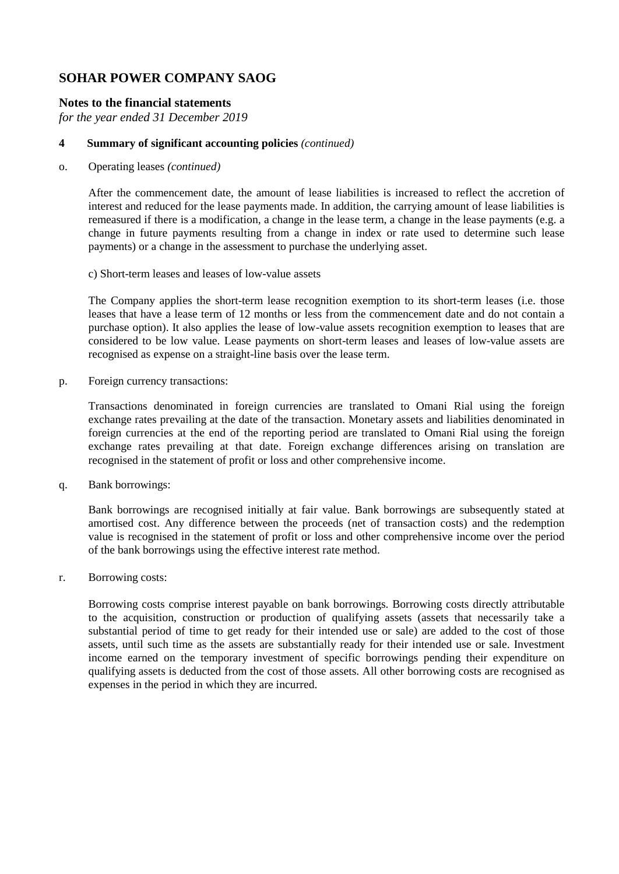## **Notes to the financial statements**

*for the year ended 31 December 2019*

### **4 Summary of significant accounting policies** *(continued)*

#### o. Operating leases *(continued)*

After the commencement date, the amount of lease liabilities is increased to reflect the accretion of interest and reduced for the lease payments made. In addition, the carrying amount of lease liabilities is remeasured if there is a modification, a change in the lease term, a change in the lease payments (e.g. a change in future payments resulting from a change in index or rate used to determine such lease payments) or a change in the assessment to purchase the underlying asset.

c) Short-term leases and leases of low-value assets

The Company applies the short-term lease recognition exemption to its short-term leases (i.e. those leases that have a lease term of 12 months or less from the commencement date and do not contain a purchase option). It also applies the lease of low-value assets recognition exemption to leases that are considered to be low value. Lease payments on short-term leases and leases of low-value assets are recognised as expense on a straight-line basis over the lease term.

p. Foreign currency transactions:

Transactions denominated in foreign currencies are translated to Omani Rial using the foreign exchange rates prevailing at the date of the transaction. Monetary assets and liabilities denominated in foreign currencies at the end of the reporting period are translated to Omani Rial using the foreign exchange rates prevailing at that date. Foreign exchange differences arising on translation are recognised in the statement of profit or loss and other comprehensive income.

q. Bank borrowings:

Bank borrowings are recognised initially at fair value. Bank borrowings are subsequently stated at amortised cost. Any difference between the proceeds (net of transaction costs) and the redemption value is recognised in the statement of profit or loss and other comprehensive income over the period of the bank borrowings using the effective interest rate method.

r. Borrowing costs:

Borrowing costs comprise interest payable on bank borrowings. Borrowing costs directly attributable to the acquisition, construction or production of qualifying assets (assets that necessarily take a substantial period of time to get ready for their intended use or sale) are added to the cost of those assets, until such time as the assets are substantially ready for their intended use or sale. Investment income earned on the temporary investment of specific borrowings pending their expenditure on qualifying assets is deducted from the cost of those assets. All other borrowing costs are recognised as expenses in the period in which they are incurred.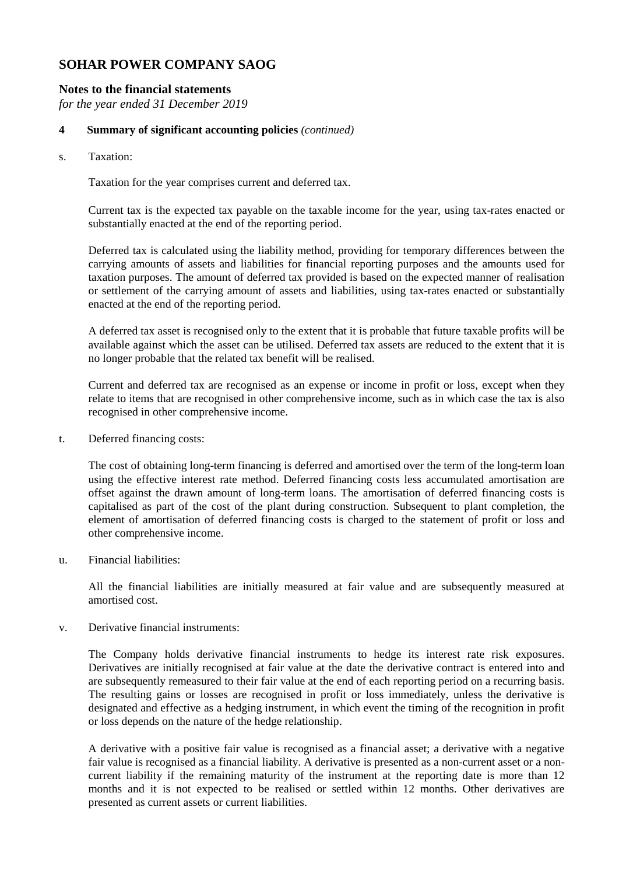## **Notes to the financial statements**

*for the year ended 31 December 2019*

### **4 Summary of significant accounting policies** *(continued)*

s. Taxation:

Taxation for the year comprises current and deferred tax.

Current tax is the expected tax payable on the taxable income for the year, using tax-rates enacted or substantially enacted at the end of the reporting period.

Deferred tax is calculated using the liability method, providing for temporary differences between the carrying amounts of assets and liabilities for financial reporting purposes and the amounts used for taxation purposes. The amount of deferred tax provided is based on the expected manner of realisation or settlement of the carrying amount of assets and liabilities, using tax-rates enacted or substantially enacted at the end of the reporting period.

A deferred tax asset is recognised only to the extent that it is probable that future taxable profits will be available against which the asset can be utilised. Deferred tax assets are reduced to the extent that it is no longer probable that the related tax benefit will be realised.

Current and deferred tax are recognised as an expense or income in profit or loss, except when they relate to items that are recognised in other comprehensive income, such as in which case the tax is also recognised in other comprehensive income.

t. Deferred financing costs:

The cost of obtaining long-term financing is deferred and amortised over the term of the long-term loan using the effective interest rate method. Deferred financing costs less accumulated amortisation are offset against the drawn amount of long-term loans. The amortisation of deferred financing costs is capitalised as part of the cost of the plant during construction. Subsequent to plant completion, the element of amortisation of deferred financing costs is charged to the statement of profit or loss and other comprehensive income.

#### u. Financial liabilities:

All the financial liabilities are initially measured at fair value and are subsequently measured at amortised cost.

v. Derivative financial instruments:

The Company holds derivative financial instruments to hedge its interest rate risk exposures. Derivatives are initially recognised at fair value at the date the derivative contract is entered into and are subsequently remeasured to their fair value at the end of each reporting period on a recurring basis. The resulting gains or losses are recognised in profit or loss immediately, unless the derivative is designated and effective as a hedging instrument, in which event the timing of the recognition in profit or loss depends on the nature of the hedge relationship.

A derivative with a positive fair value is recognised as a financial asset; a derivative with a negative fair value is recognised as a financial liability. A derivative is presented as a non-current asset or a noncurrent liability if the remaining maturity of the instrument at the reporting date is more than 12 months and it is not expected to be realised or settled within 12 months. Other derivatives are presented as current assets or current liabilities.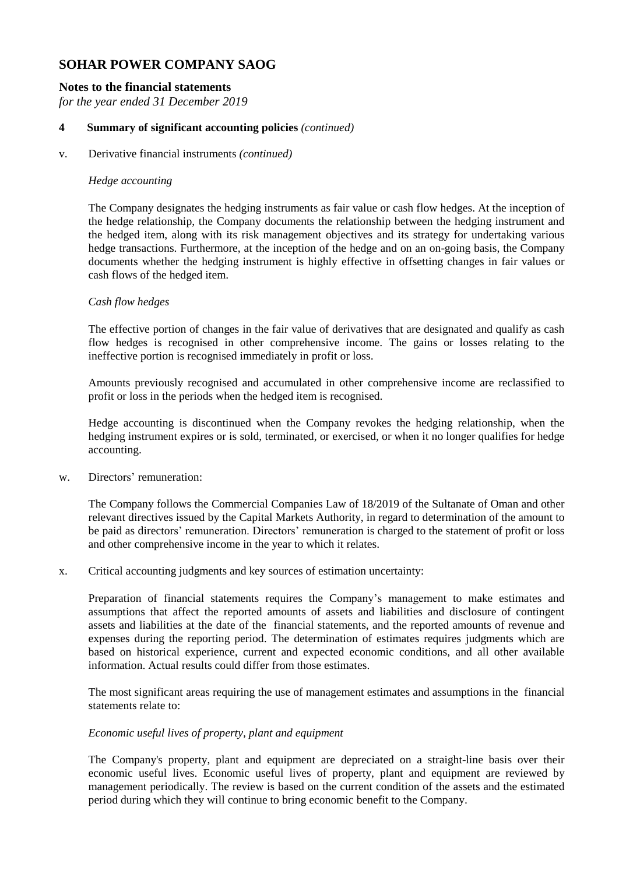## **Notes to the financial statements**

*for the year ended 31 December 2019*

#### **4 Summary of significant accounting policies** *(continued)*

v. Derivative financial instruments *(continued)*

#### *Hedge accounting*

The Company designates the hedging instruments as fair value or cash flow hedges. At the inception of the hedge relationship, the Company documents the relationship between the hedging instrument and the hedged item, along with its risk management objectives and its strategy for undertaking various hedge transactions. Furthermore, at the inception of the hedge and on an on-going basis, the Company documents whether the hedging instrument is highly effective in offsetting changes in fair values or cash flows of the hedged item.

#### *Cash flow hedges*

The effective portion of changes in the fair value of derivatives that are designated and qualify as cash flow hedges is recognised in other comprehensive income. The gains or losses relating to the ineffective portion is recognised immediately in profit or loss.

Amounts previously recognised and accumulated in other comprehensive income are reclassified to profit or loss in the periods when the hedged item is recognised.

Hedge accounting is discontinued when the Company revokes the hedging relationship, when the hedging instrument expires or is sold, terminated, or exercised, or when it no longer qualifies for hedge accounting.

w. Directors' remuneration:

The Company follows the Commercial Companies Law of 18/2019 of the Sultanate of Oman and other relevant directives issued by the Capital Markets Authority, in regard to determination of the amount to be paid as directors' remuneration. Directors' remuneration is charged to the statement of profit or loss and other comprehensive income in the year to which it relates.

x. Critical accounting judgments and key sources of estimation uncertainty:

Preparation of financial statements requires the Company's management to make estimates and assumptions that affect the reported amounts of assets and liabilities and disclosure of contingent assets and liabilities at the date of the financial statements, and the reported amounts of revenue and expenses during the reporting period. The determination of estimates requires judgments which are based on historical experience, current and expected economic conditions, and all other available information. Actual results could differ from those estimates.

The most significant areas requiring the use of management estimates and assumptions in the financial statements relate to:

#### *Economic useful lives of property, plant and equipment*

The Company's property, plant and equipment are depreciated on a straight-line basis over their economic useful lives. Economic useful lives of property, plant and equipment are reviewed by management periodically. The review is based on the current condition of the assets and the estimated period during which they will continue to bring economic benefit to the Company.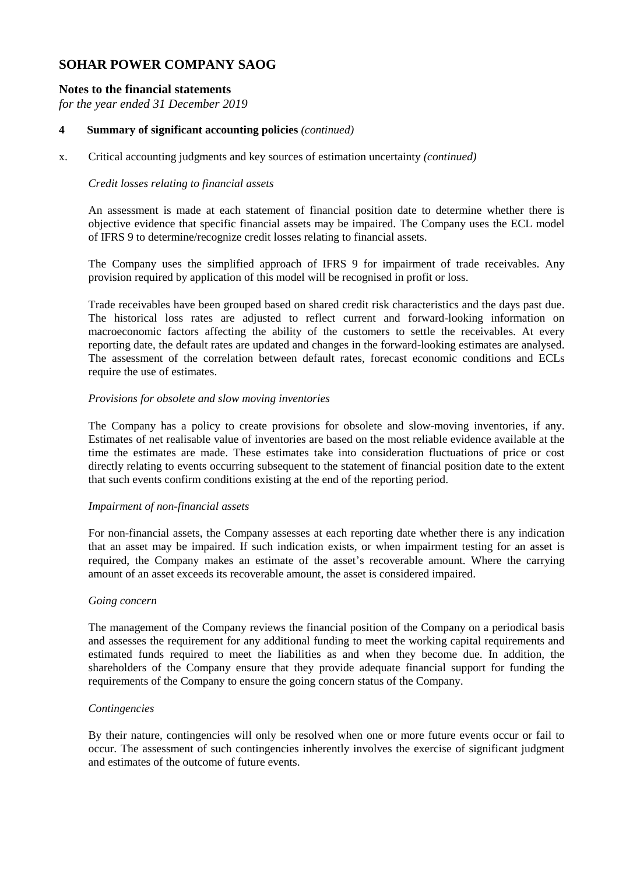## **Notes to the financial statements**

*for the year ended 31 December 2019*

### **4 Summary of significant accounting policies** *(continued)*

x. Critical accounting judgments and key sources of estimation uncertainty *(continued)*

### *Credit losses relating to financial assets*

An assessment is made at each statement of financial position date to determine whether there is objective evidence that specific financial assets may be impaired. The Company uses the ECL model of IFRS 9 to determine/recognize credit losses relating to financial assets.

The Company uses the simplified approach of IFRS 9 for impairment of trade receivables. Any provision required by application of this model will be recognised in profit or loss.

Trade receivables have been grouped based on shared credit risk characteristics and the days past due. The historical loss rates are adjusted to reflect current and forward-looking information on macroeconomic factors affecting the ability of the customers to settle the receivables. At every reporting date, the default rates are updated and changes in the forward-looking estimates are analysed. The assessment of the correlation between default rates, forecast economic conditions and ECLs require the use of estimates.

#### *Provisions for obsolete and slow moving inventories*

The Company has a policy to create provisions for obsolete and slow-moving inventories, if any. Estimates of net realisable value of inventories are based on the most reliable evidence available at the time the estimates are made. These estimates take into consideration fluctuations of price or cost directly relating to events occurring subsequent to the statement of financial position date to the extent that such events confirm conditions existing at the end of the reporting period.

#### *Impairment of non-financial assets*

For non-financial assets, the Company assesses at each reporting date whether there is any indication that an asset may be impaired. If such indication exists, or when impairment testing for an asset is required, the Company makes an estimate of the asset's recoverable amount. Where the carrying amount of an asset exceeds its recoverable amount, the asset is considered impaired.

#### *Going concern*

The management of the Company reviews the financial position of the Company on a periodical basis and assesses the requirement for any additional funding to meet the working capital requirements and estimated funds required to meet the liabilities as and when they become due. In addition, the shareholders of the Company ensure that they provide adequate financial support for funding the requirements of the Company to ensure the going concern status of the Company.

#### *Contingencies*

By their nature, contingencies will only be resolved when one or more future events occur or fail to occur. The assessment of such contingencies inherently involves the exercise of significant judgment and estimates of the outcome of future events.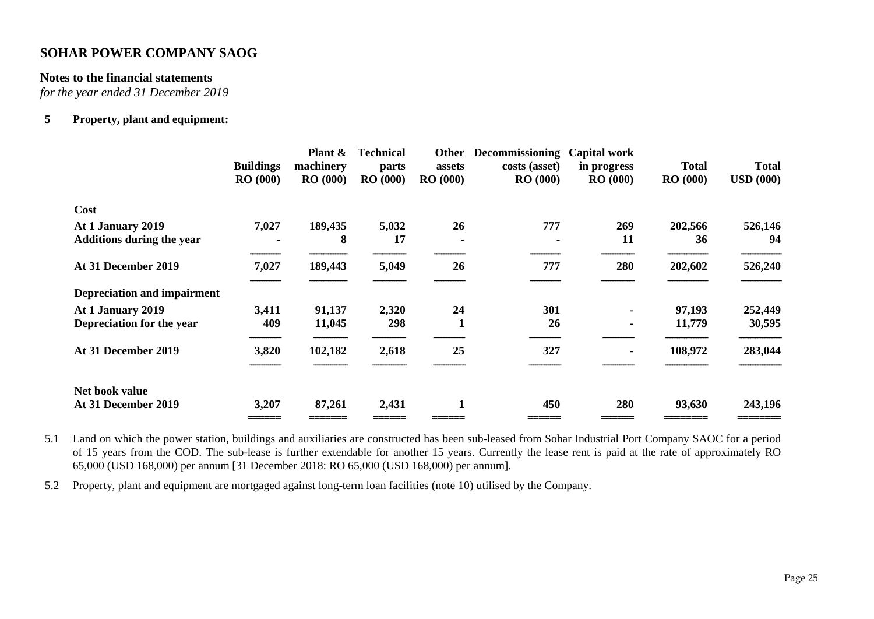## **Notes to the financial statements**

*for the year ended 31 December 2019*

## **5 Property, plant and equipment:**

|                                    | <b>Buildings</b><br><b>RO</b> (000) | Plant &<br>machinery<br>RO(000) | <b>Technical</b><br>parts<br><b>RO</b> (000) | Other<br>assets<br><b>RO</b> (000) | <b>Decommissioning</b><br>costs (asset)<br><b>RO</b> (000) | <b>Capital work</b><br>in progress<br><b>RO</b> (000) | <b>Total</b><br><b>RO</b> (000) | <b>Total</b><br><b>USD</b> (000) |
|------------------------------------|-------------------------------------|---------------------------------|----------------------------------------------|------------------------------------|------------------------------------------------------------|-------------------------------------------------------|---------------------------------|----------------------------------|
| Cost                               |                                     |                                 |                                              |                                    |                                                            |                                                       |                                 |                                  |
| At 1 January 2019                  | 7,027                               | 189,435                         | 5,032                                        | 26                                 | 777                                                        | 269                                                   | 202,566                         | 526,146                          |
| <b>Additions during the year</b>   |                                     | 8                               | 17                                           |                                    |                                                            | 11                                                    | 36                              | 94                               |
| At 31 December 2019                | 7,027                               | 189,443                         | 5,049                                        | 26                                 | 777                                                        | 280                                                   | 202,602                         | 526,240                          |
| <b>Depreciation and impairment</b> |                                     |                                 |                                              |                                    |                                                            |                                                       |                                 |                                  |
| At 1 January 2019                  | 3,411                               | 91,137                          | 2,320                                        | 24                                 | 301                                                        |                                                       | 97,193                          | 252,449                          |
| Depreciation for the year          | 409                                 | 11,045                          | 298                                          | 1                                  | 26                                                         |                                                       | 11,779                          | 30,595                           |
| At 31 December 2019                | 3,820                               | 102,182                         | 2,618                                        | 25                                 | 327                                                        | $\blacksquare$                                        | 108,972                         | 283,044                          |
| Net book value                     |                                     |                                 |                                              |                                    |                                                            |                                                       |                                 |                                  |
| At 31 December 2019                | 3,207                               | 87,261                          | 2,431                                        | $\mathbf{1}$                       | 450                                                        | 280                                                   | 93,630                          | 243,196                          |
|                                    |                                     |                                 |                                              |                                    |                                                            |                                                       |                                 |                                  |

5.1 Land on which the power station, buildings and auxiliaries are constructed has been sub-leased from Sohar Industrial Port Company SAOC for a period of 15 years from the COD. The sub-lease is further extendable for another 15 years. Currently the lease rent is paid at the rate of approximately RO 65,000 (USD 168,000) per annum [31 December 2018: RO 65,000 (USD 168,000) per annum].

5.2 Property, plant and equipment are mortgaged against long-term loan facilities (note 10) utilised by the Company.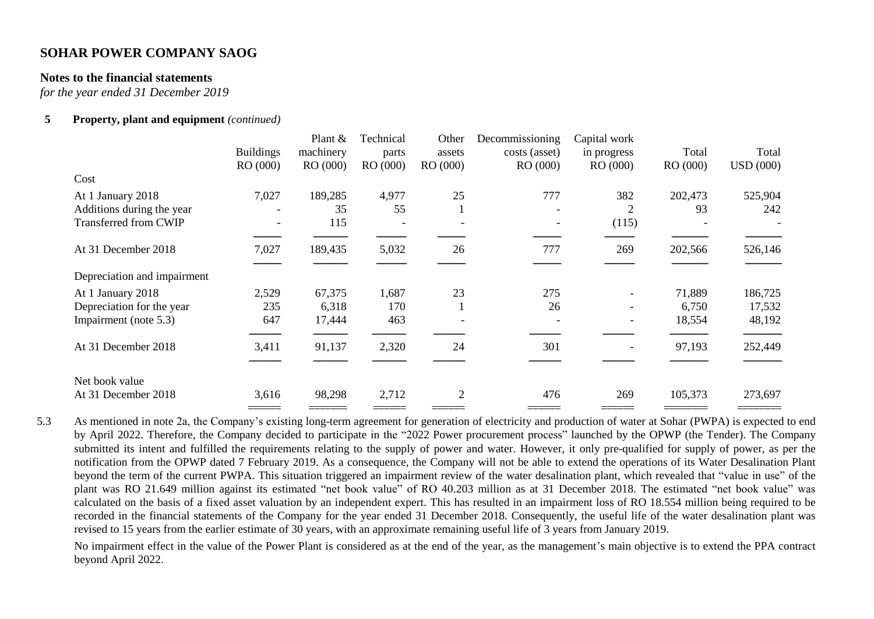#### **Notes to the financial statements**

*for the year ended 31 December 2019*

#### **5 Property, plant and equipment** *(continued)*

|                              | <b>Buildings</b><br>RO (000) | Plant $&$<br>machinery<br>RO (000) | Technical<br>parts<br>RO (000) | Other<br>assets<br>RO (000) | Decommissioning<br>costs (asset)<br>RO (000) | Capital work<br>in progress<br>RO (000) | Total<br>RO (000) | Total<br><b>USD</b> (000) |
|------------------------------|------------------------------|------------------------------------|--------------------------------|-----------------------------|----------------------------------------------|-----------------------------------------|-------------------|---------------------------|
| Cost                         |                              |                                    |                                |                             |                                              |                                         |                   |                           |
| At 1 January 2018            | 7,027                        | 189,285                            | 4,977                          | 25                          | 777                                          | 382                                     | 202,473           | 525,904                   |
| Additions during the year    |                              | 35                                 | 55                             |                             |                                              | $\overline{2}$                          | 93                | 242                       |
| <b>Transferred from CWIP</b> |                              | 115                                |                                |                             |                                              | (115)                                   |                   |                           |
| At 31 December 2018          | 7,027                        | 189,435                            | 5,032                          | 26                          | 777                                          | 269                                     | 202,566           | 526,146                   |
| Depreciation and impairment  |                              |                                    |                                |                             |                                              |                                         |                   |                           |
| At 1 January 2018            | 2,529                        | 67,375                             | 1,687                          | 23                          | 275                                          |                                         | 71,889            | 186,725                   |
| Depreciation for the year    | 235                          | 6,318                              | 170                            |                             | 26                                           |                                         | 6,750             | 17,532                    |
| Impairment (note 5.3)        | 647                          | 17,444                             | 463                            |                             |                                              |                                         | 18,554            | 48,192                    |
| At 31 December 2018          | 3,411                        | 91,137                             | 2,320                          | 24                          | 301                                          |                                         | 97,193            | 252,449                   |
| Net book value               |                              |                                    |                                |                             |                                              |                                         |                   |                           |
| At 31 December 2018          | 3,616                        | 98,298                             | 2,712                          | $\overline{2}$              | 476                                          | 269                                     | 105,373           | 273,697                   |
|                              |                              |                                    |                                |                             |                                              |                                         |                   |                           |

5.3 As mentioned in note 2a, the Company's existing long-term agreement for generation of electricity and production of water at Sohar (PWPA) is expected to end by April 2022. Therefore, the Company decided to participate in the "2022 Power procurement process" launched by the OPWP (the Tender). The Company submitted its intent and fulfilled the requirements relating to the supply of power and water. However, it only pre-qualified for supply of power, as per the notification from the OPWP dated 7 February 2019. As a consequence, the Company will not be able to extend the operations of its Water Desalination Plant beyond the term of the current PWPA. This situation triggered an impairment review of the water desalination plant, which revealed that "value in use" of the plant was RO 21.649 million against its estimated "net book value" of RO 40.203 million as at 31 December 2018. The estimated "net book value" was calculated on the basis of a fixed asset valuation by an independent expert. This has resulted in an impairment loss of RO 18.554 million being required to be recorded in the financial statements of the Company for the year ended 31 December 2018. Consequently, the useful life of the water desalination plant was revised to 15 years from the earlier estimate of 30 years, with an approximate remaining useful life of 3 years from January 2019.

No impairment effect in the value of the Power Plant is considered as at the end of the year, as the management's main objective is to extend the PPA contract beyond April 2022.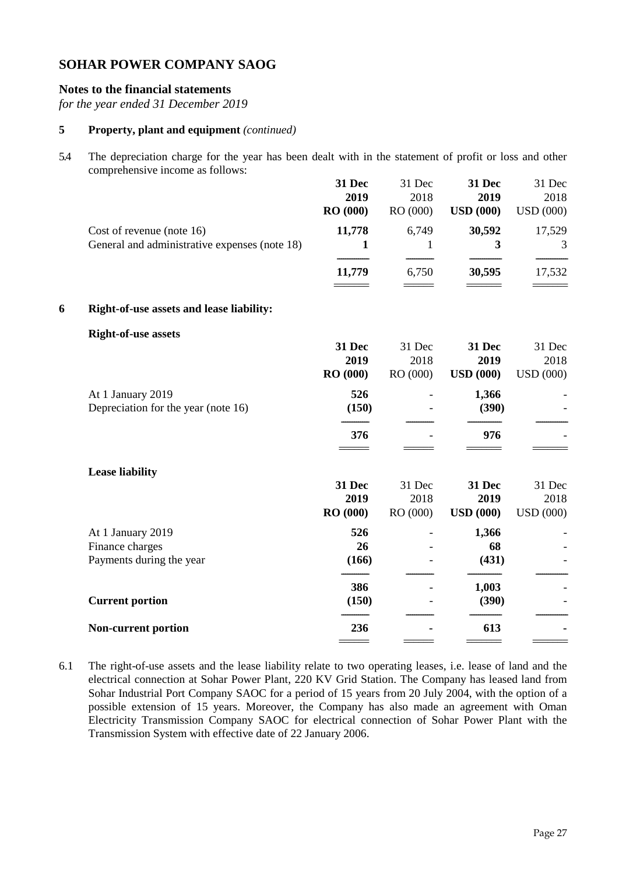## **Notes to the financial statements**

*for the year ended 31 December 2019*

### **5 Property, plant and equipment** *(continued)*

5.4 The depreciation charge for the year has been dealt with in the statement of profit or loss and other comprehensive income as follows:

|   |                                               | 31 Dec<br>2019<br>RO (000) | 31 Dec<br>2018<br>RO (000) | <b>31 Dec</b><br>2019<br><b>USD</b> (000) | 31 Dec<br>2018<br><b>USD</b> (000) |
|---|-----------------------------------------------|----------------------------|----------------------------|-------------------------------------------|------------------------------------|
|   | Cost of revenue (note 16)                     | 11,778                     | 6,749                      | 30,592                                    | 17,529                             |
|   | General and administrative expenses (note 18) | $\mathbf{1}$               | 1                          | 3                                         | 3                                  |
|   |                                               | 11,779                     | 6,750                      | 30,595                                    | 17,532                             |
| 6 | Right-of-use assets and lease liability:      |                            |                            |                                           |                                    |
|   | <b>Right-of-use assets</b>                    |                            |                            |                                           |                                    |
|   |                                               | 31 Dec                     | 31 Dec                     | 31 Dec                                    | 31 Dec                             |
|   |                                               | 2019                       | 2018                       | 2019                                      | 2018                               |
|   |                                               | <b>RO</b> (000)            | RO (000)                   | <b>USD</b> (000)                          | <b>USD</b> (000)                   |
|   | At 1 January 2019                             | 526                        |                            | 1,366                                     |                                    |
|   | Depreciation for the year (note 16)           | (150)                      |                            | (390)                                     |                                    |
|   |                                               |                            |                            |                                           |                                    |
|   |                                               | 376                        |                            | 976                                       |                                    |
|   | <b>Lease liability</b>                        |                            |                            |                                           |                                    |
|   |                                               | 31 Dec                     | 31 Dec                     | 31 Dec                                    | 31 Dec                             |
|   |                                               | 2019                       | 2018                       | 2019                                      | 2018                               |
|   |                                               | <b>RO</b> (000)            | RO (000)                   | <b>USD</b> (000)                          | <b>USD</b> (000)                   |
|   | At 1 January 2019                             | 526                        |                            | 1,366                                     |                                    |
|   | Finance charges                               | 26                         |                            | 68                                        |                                    |
|   | Payments during the year                      | (166)                      |                            | (431)                                     |                                    |
|   |                                               | 386                        |                            | 1,003                                     |                                    |
|   | <b>Current portion</b>                        | (150)                      |                            | (390)                                     |                                    |
|   | Non-current portion                           | 236                        |                            | 613                                       |                                    |
|   |                                               |                            |                            |                                           |                                    |

<sup>6.1</sup> The right-of-use assets and the lease liability relate to two operating leases, i.e. lease of land and the electrical connection at Sohar Power Plant, 220 KV Grid Station. The Company has leased land from Sohar Industrial Port Company SAOC for a period of 15 years from 20 July 2004, with the option of a possible extension of 15 years. Moreover, the Company has also made an agreement with Oman Electricity Transmission Company SAOC for electrical connection of Sohar Power Plant with the Transmission System with effective date of 22 January 2006.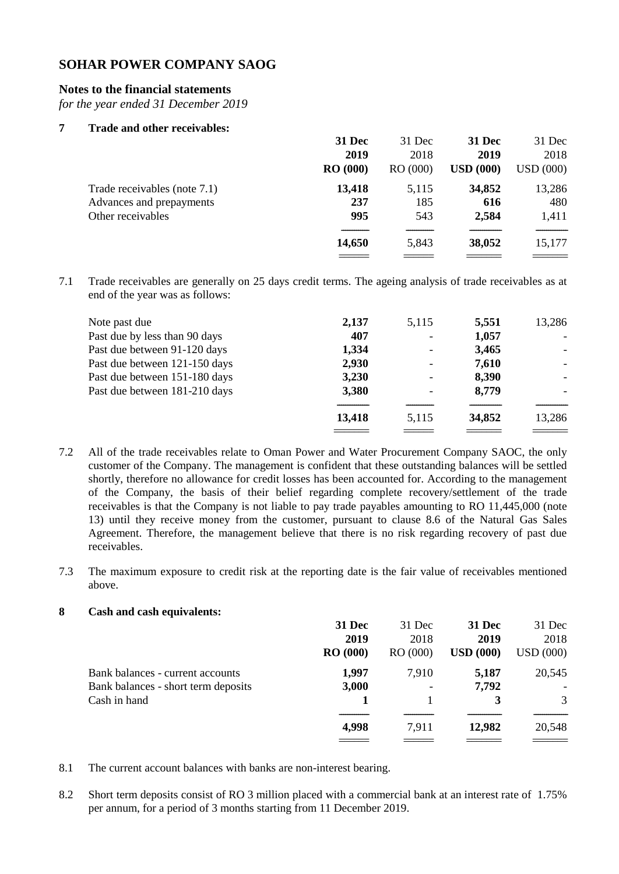## **Notes to the financial statements**

*for the year ended 31 December 2019*

### **7 Trade and other receivables:**

|                              | <b>31 Dec</b>   | 31 Dec   | <b>31 Dec</b>    | 31 Dec   |
|------------------------------|-----------------|----------|------------------|----------|
|                              | 2019            | 2018     | 2019             | 2018     |
|                              | <b>RO</b> (000) | RO (000) | <b>USD</b> (000) | USD(000) |
| Trade receivables (note 7.1) | 13,418          | 5,115    | 34,852           | 13,286   |
| Advances and prepayments     | 237             | 185      | 616              | 480      |
| Other receivables            | 995             | 543      | 2,584            | 1,411    |
|                              | 14,650          | 5,843    | 38,052           | 15,177   |
|                              |                 |          |                  |          |

7.1 Trade receivables are generally on 25 days credit terms. The ageing analysis of trade receivables as at end of the year was as follows:

| Note past due                 | 2,137  | 5,115           | 5,551  | 13,286 |
|-------------------------------|--------|-----------------|--------|--------|
| Past due by less than 90 days | 407    |                 | 1,057  |        |
| Past due between 91-120 days  | 1,334  |                 | 3,465  |        |
| Past due between 121-150 days | 2,930  | $\qquad \qquad$ | 7,610  |        |
| Past due between 151-180 days | 3,230  | $\qquad \qquad$ | 8,390  |        |
| Past due between 181-210 days | 3,380  |                 | 8,779  |        |
|                               | 13,418 | 5,115           | 34,852 | 13,286 |
|                               |        |                 |        |        |

- 7.2 All of the trade receivables relate to Oman Power and Water Procurement Company SAOC, the only customer of the Company. The management is confident that these outstanding balances will be settled shortly, therefore no allowance for credit losses has been accounted for. According to the management of the Company, the basis of their belief regarding complete recovery/settlement of the trade receivables is that the Company is not liable to pay trade payables amounting to RO 11,445,000 (note 13) until they receive money from the customer, pursuant to clause 8.6 of the Natural Gas Sales Agreement. Therefore, the management believe that there is no risk regarding recovery of past due receivables.
- 7.3 The maximum exposure to credit risk at the reporting date is the fair value of receivables mentioned above.

### **8 Cash and cash equivalents:**

| $\mathbf{r}$                                                                            | <b>31 Dec</b><br>2019<br><b>RO</b> (000) | 31 Dec<br>2018<br>RO(000) | 31 Dec<br>2019<br><b>USD</b> (000) | 31 Dec<br>2018<br><b>USD</b> (000) |
|-----------------------------------------------------------------------------------------|------------------------------------------|---------------------------|------------------------------------|------------------------------------|
| Bank balances - current accounts<br>Bank balances - short term deposits<br>Cash in hand | 1,997<br>3,000                           | 7,910                     | 5,187<br>7,792<br>3                | 20,545<br>3                        |
|                                                                                         | 4,998                                    | 7,911                     | 12,982                             | 20,548                             |

- 8.1 The current account balances with banks are non-interest bearing.
- 8.2 Short term deposits consist of RO 3 million placed with a commercial bank at an interest rate of 1.75% per annum, for a period of 3 months starting from 11 December 2019.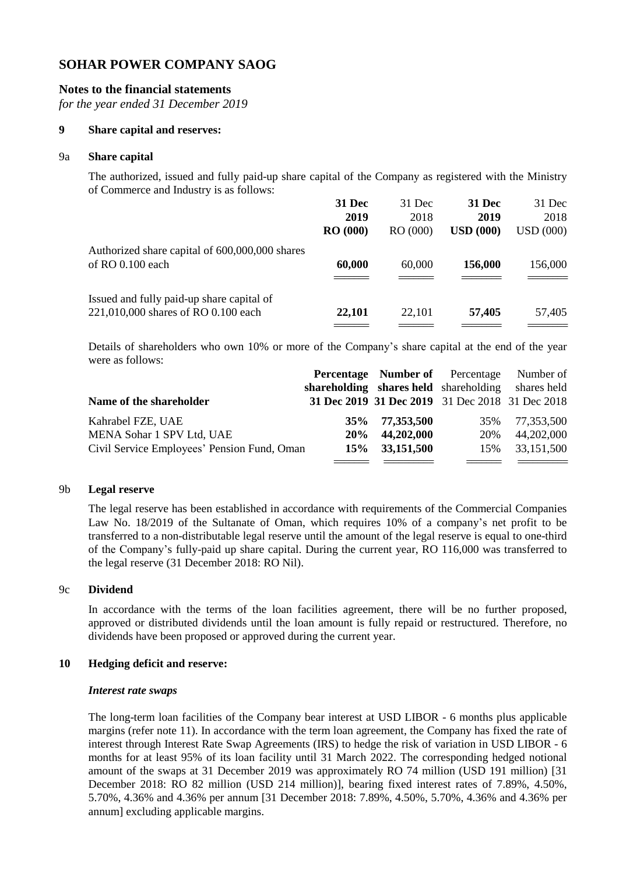## **Notes to the financial statements**

*for the year ended 31 December 2019*

#### **9 Share capital and reserves:**

#### 9a **Share capital**

The authorized, issued and fully paid-up share capital of the Company as registered with the Ministry of Commerce and Industry is as follows:

|                                                | <b>31 Dec</b>   | 31 Dec   | 31 Dec           | 31 Dec           |
|------------------------------------------------|-----------------|----------|------------------|------------------|
|                                                | 2019            | 2018     | 2019             | 2018             |
|                                                | <b>RO</b> (000) | RO (000) | $\bf{USD}$ (000) | <b>USD</b> (000) |
| Authorized share capital of 600,000,000 shares |                 |          |                  |                  |
| of RO 0.100 each                               | 60,000          | 60,000   | 156,000          | 156,000          |
|                                                |                 |          |                  |                  |
| Issued and fully paid-up share capital of      |                 |          |                  |                  |
| 221,010,000 shares of RO 0.100 each            | 22,101          | 22.101   | 57,405           | 57,405           |
|                                                |                 |          |                  |                  |

Details of shareholders who own 10% or more of the Company's share capital at the end of the year were as follows:

|                                             |     |                 | <b>Percentage Number of</b> Percentage          | Number of   |
|---------------------------------------------|-----|-----------------|-------------------------------------------------|-------------|
|                                             |     |                 | shareholding shares held shareholding           | shares held |
| Name of the shareholder                     |     |                 | 31 Dec 2019 31 Dec 2019 31 Dec 2018 31 Dec 2018 |             |
| Kahrabel FZE, UAE                           | 35% | 77,353,500      | 35%                                             | 77,353,500  |
| MENA Sohar 1 SPV Ltd, UAE                   | 20% | 44,202,000      | 20%                                             | 44,202,000  |
| Civil Service Employees' Pension Fund, Oman |     | 15\% 33,151,500 | 15%                                             | 33,151,500  |
|                                             |     |                 |                                                 |             |

#### 9b **Legal reserve**

The legal reserve has been established in accordance with requirements of the Commercial Companies Law No. 18/2019 of the Sultanate of Oman, which requires 10% of a company's net profit to be transferred to a non-distributable legal reserve until the amount of the legal reserve is equal to one-third of the Company's fully-paid up share capital. During the current year, RO 116,000 was transferred to the legal reserve (31 December 2018: RO Nil).

#### 9c **Dividend**

In accordance with the terms of the loan facilities agreement, there will be no further proposed, approved or distributed dividends until the loan amount is fully repaid or restructured. Therefore, no dividends have been proposed or approved during the current year.

#### **10 Hedging deficit and reserve:**

#### *Interest rate swaps*

The long-term loan facilities of the Company bear interest at USD LIBOR - 6 months plus applicable margins (refer note 11). In accordance with the term loan agreement, the Company has fixed the rate of interest through Interest Rate Swap Agreements (IRS) to hedge the risk of variation in USD LIBOR - 6 months for at least 95% of its loan facility until 31 March 2022. The corresponding hedged notional amount of the swaps at 31 December 2019 was approximately RO 74 million (USD 191 million) [31 December 2018: RO 82 million (USD 214 million)], bearing fixed interest rates of 7.89%, 4.50%, 5.70%, 4.36% and 4.36% per annum [31 December 2018: 7.89%, 4.50%, 5.70%, 4.36% and 4.36% per annum] excluding applicable margins.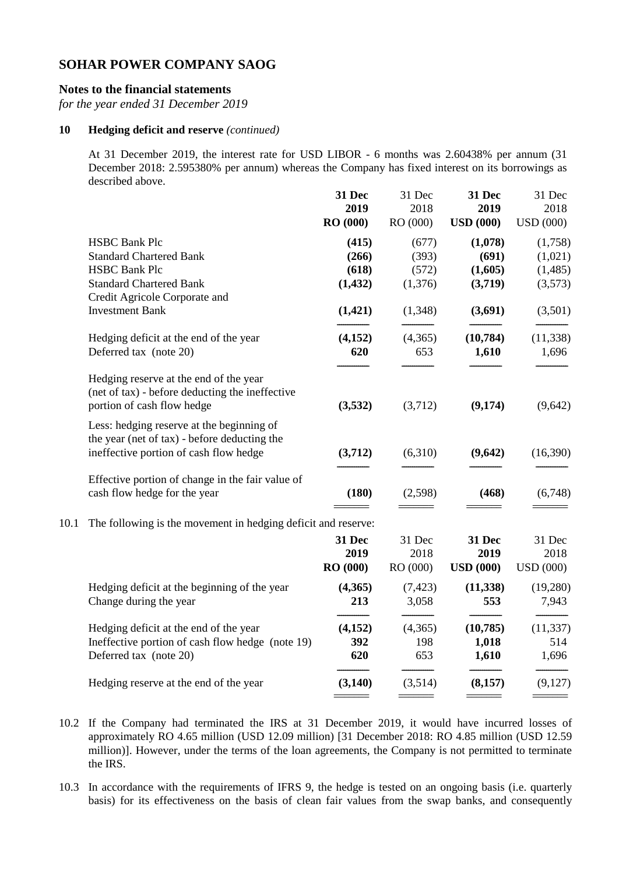### **Notes to the financial statements**

*for the year ended 31 December 2019*

## **10 Hedging deficit and reserve** *(continued)*

At 31 December 2019, the interest rate for USD LIBOR - 6 months was 2.60438% per annum (31 December 2018: 2.595380% per annum) whereas the Company has fixed interest on its borrowings as described above.

|      |                                                                                                                                     | 31 Dec<br>2019<br>RO (000)        | 31 Dec<br>2018<br>RO (000) | 31 Dec<br>2019<br><b>USD</b> (000) | 31 Dec<br>2018<br><b>USD</b> (000) |
|------|-------------------------------------------------------------------------------------------------------------------------------------|-----------------------------------|----------------------------|------------------------------------|------------------------------------|
|      | <b>HSBC Bank Plc</b><br><b>Standard Chartered Bank</b>                                                                              | (415)<br>(266)                    | (677)<br>(393)             | (1,078)<br>(691)                   | (1,758)<br>(1,021)                 |
|      | <b>HSBC Bank Plc</b><br><b>Standard Chartered Bank</b><br>Credit Agricole Corporate and                                             | (618)<br>(1, 432)                 | (572)<br>(1,376)           | (1,605)<br>(3,719)                 | (1,485)<br>(3,573)                 |
|      | <b>Investment Bank</b>                                                                                                              | (1,421)                           | (1,348)                    | (3,691)                            | (3,501)                            |
|      | Hedging deficit at the end of the year<br>Deferred tax (note 20)                                                                    | (4,152)<br>620                    | (4,365)<br>653             | (10, 784)<br>1,610                 | (11, 338)<br>1,696                 |
|      | Hedging reserve at the end of the year<br>(net of tax) - before deducting the ineffective<br>portion of cash flow hedge             | (3,532)                           | (3,712)                    | (9,174)                            | (9,642)                            |
|      | Less: hedging reserve at the beginning of<br>the year (net of tax) - before deducting the<br>ineffective portion of cash flow hedge | (3,712)                           | (6,310)                    | (9,642)                            | (16,390)                           |
|      | Effective portion of change in the fair value of<br>cash flow hedge for the year                                                    | (180)                             | (2,598)                    | (468)                              | (6,748)                            |
| 10.1 | The following is the movement in hedging deficit and reserve:                                                                       |                                   |                            |                                    |                                    |
|      |                                                                                                                                     | 31 Dec<br>2019<br><b>RO</b> (000) | 31 Dec<br>2018<br>RO (000) | 31 Dec<br>2019<br><b>USD</b> (000) | 31 Dec<br>2018<br><b>USD</b> (000) |
|      | Hedging deficit at the beginning of the year<br>Change during the year                                                              | (4,365)<br>213                    | (7, 423)<br>3,058          | (11, 338)<br>553                   | (19,280)<br>7,943                  |
|      | Hedging deficit at the end of the year<br>Ineffective portion of cash flow hedge (note 19)<br>Deferred tax (note 20)                | (4,152)<br>392<br>620             | (4,365)<br>198<br>653      | (10, 785)<br>1,018<br>1,610        | (11, 337)<br>514<br>1,696          |
|      | Hedging reserve at the end of the year                                                                                              | (3, 140)                          | (3,514)                    | (8,157)                            | (9,127)                            |
|      |                                                                                                                                     |                                   |                            |                                    |                                    |

- 10.2 If the Company had terminated the IRS at 31 December 2019, it would have incurred losses of approximately RO 4.65 million (USD 12.09 million) [31 December 2018: RO 4.85 million (USD 12.59 million)]. However, under the terms of the loan agreements, the Company is not permitted to terminate the IRS.
- 10.3 In accordance with the requirements of IFRS 9, the hedge is tested on an ongoing basis (i.e. quarterly basis) for its effectiveness on the basis of clean fair values from the swap banks, and consequently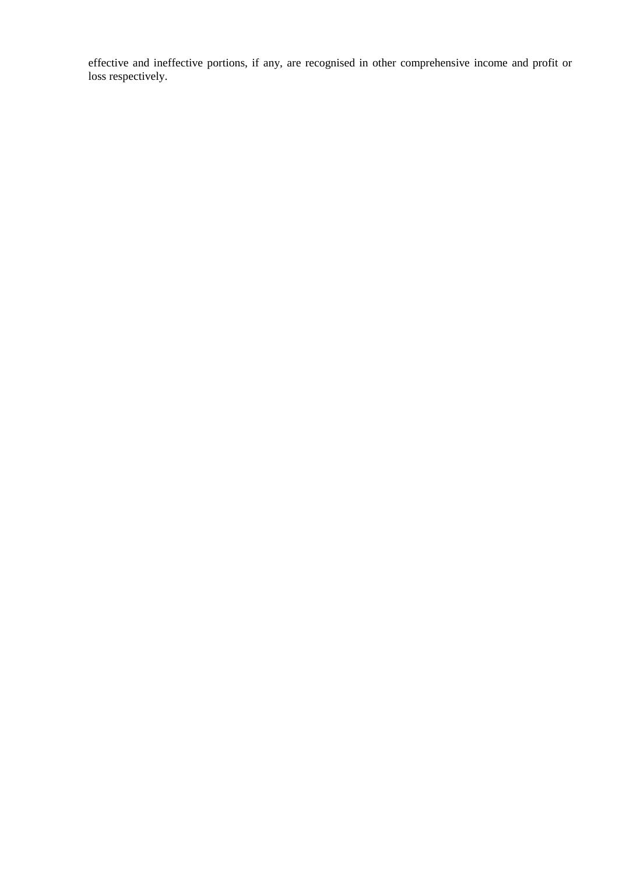effective and ineffective portions, if any, are recognised in other comprehensive income and profit or loss respectively.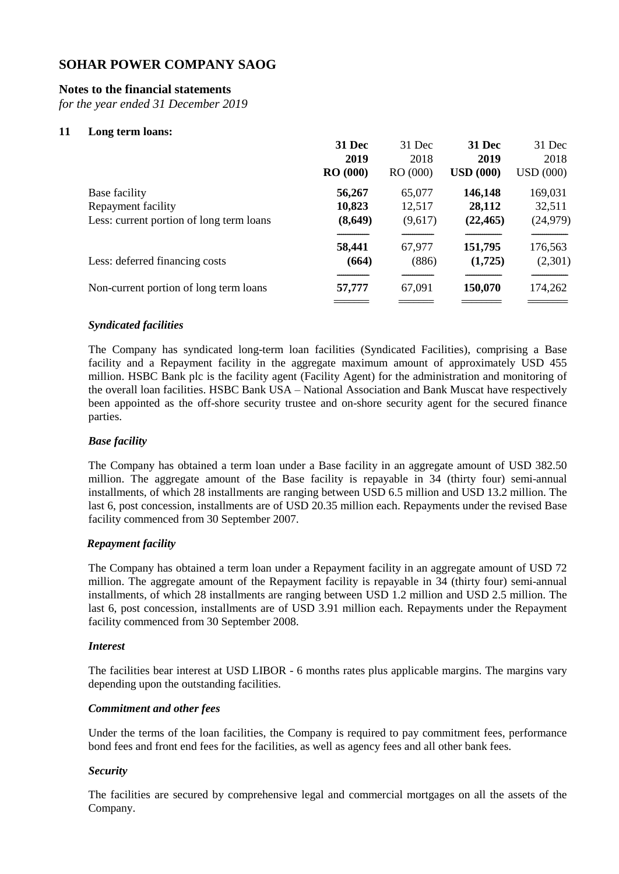## **Notes to the financial statements**

*for the year ended 31 December 2019*

## **11 Long term loans:**

|                                          | 31 Dec          | 31 Dec   | 31 Dec           | 31 Dec           |
|------------------------------------------|-----------------|----------|------------------|------------------|
|                                          | 2019            | 2018     | 2019             | 2018             |
|                                          | <b>RO</b> (000) | RO (000) | <b>USD</b> (000) | <b>USD</b> (000) |
| Base facility                            | 56,267          | 65,077   | 146,148          | 169,031          |
| Repayment facility                       | 10,823          | 12,517   | 28,112           | 32,511           |
| Less: current portion of long term loans | (8,649)         | (9,617)  | (22, 465)        | (24, 979)        |
|                                          | 58,441          | 67,977   | 151,795          | 176,563          |
| Less: deferred financing costs           | (664)           | (886)    | (1,725)          | (2,301)          |
| Non-current portion of long term loans   | 57,777          | 67,091   | 150,070          | 174,262          |
|                                          |                 |          |                  |                  |

### *Syndicated facilities*

The Company has syndicated long-term loan facilities (Syndicated Facilities), comprising a Base facility and a Repayment facility in the aggregate maximum amount of approximately USD 455 million. HSBC Bank plc is the facility agent (Facility Agent) for the administration and monitoring of the overall loan facilities. HSBC Bank USA – National Association and Bank Muscat have respectively been appointed as the off-shore security trustee and on-shore security agent for the secured finance parties.

#### *Base facility*

The Company has obtained a term loan under a Base facility in an aggregate amount of USD 382.50 million. The aggregate amount of the Base facility is repayable in 34 (thirty four) semi-annual installments, of which 28 installments are ranging between USD 6.5 million and USD 13.2 million. The last 6, post concession, installments are of USD 20.35 million each. Repayments under the revised Base facility commenced from 30 September 2007.

#### *Repayment facility*

The Company has obtained a term loan under a Repayment facility in an aggregate amount of USD 72 million. The aggregate amount of the Repayment facility is repayable in 34 (thirty four) semi-annual installments, of which 28 installments are ranging between USD 1.2 million and USD 2.5 million. The last 6, post concession, installments are of USD 3.91 million each. Repayments under the Repayment facility commenced from 30 September 2008.

#### *Interest*

The facilities bear interest at USD LIBOR - 6 months rates plus applicable margins. The margins vary depending upon the outstanding facilities.

#### *Commitment and other fees*

Under the terms of the loan facilities, the Company is required to pay commitment fees, performance bond fees and front end fees for the facilities, as well as agency fees and all other bank fees.

#### *Security*

The facilities are secured by comprehensive legal and commercial mortgages on all the assets of the Company.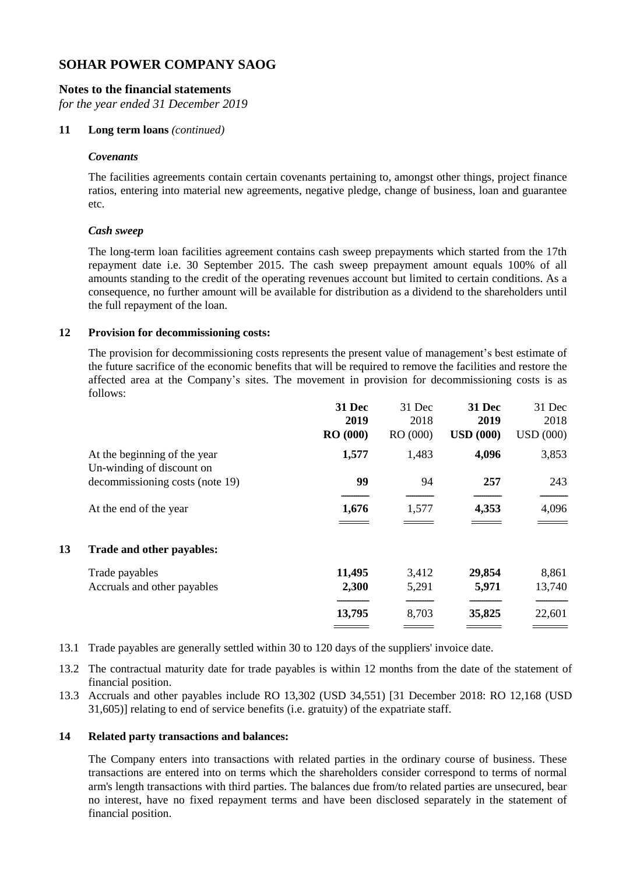### **Notes to the financial statements**

*for the year ended 31 December 2019*

#### **11 Long term loans** *(continued)*

#### *Covenants*

The facilities agreements contain certain covenants pertaining to, amongst other things, project finance ratios, entering into material new agreements, negative pledge, change of business, loan and guarantee etc.

### *Cash sweep*

The long-term loan facilities agreement contains cash sweep prepayments which started from the 17th repayment date i.e. 30 September 2015. The cash sweep prepayment amount equals 100% of all amounts standing to the credit of the operating revenues account but limited to certain conditions. As a consequence, no further amount will be available for distribution as a dividend to the shareholders until the full repayment of the loan.

### **12 Provision for decommissioning costs:**

The provision for decommissioning costs represents the present value of management's best estimate of the future sacrifice of the economic benefits that will be required to remove the facilities and restore the affected area at the Company's sites. The movement in provision for decommissioning costs is as follows:

|    |                                                           | 31 Dec          | 31 Dec   | 31 Dec           | 31 Dec   |
|----|-----------------------------------------------------------|-----------------|----------|------------------|----------|
|    |                                                           | 2019            | 2018     | 2019             | 2018     |
|    |                                                           | <b>RO</b> (000) | RO (000) | <b>USD</b> (000) | USD(000) |
|    | At the beginning of the year<br>Un-winding of discount on | 1,577           | 1,483    | 4,096            | 3,853    |
|    | decommissioning costs (note 19)                           | 99              | 94       | 257              | 243      |
|    | At the end of the year                                    | 1,676           | 1,577    | 4,353            | 4,096    |
| 13 | Trade and other payables:                                 |                 |          |                  |          |
|    | Trade payables                                            | 11,495          | 3,412    | 29,854           | 8,861    |
|    | Accruals and other payables                               | 2,300           | 5,291    | 5,971            | 13,740   |
|    |                                                           | 13,795          | 8,703    | 35,825           | 22,601   |
|    |                                                           |                 |          |                  |          |

- 13.1 Trade payables are generally settled within 30 to 120 days of the suppliers' invoice date.
- 13.2 The contractual maturity date for trade payables is within 12 months from the date of the statement of financial position.
- 13.3 Accruals and other payables include RO 13,302 (USD 34,551) [31 December 2018: RO 12,168 (USD 31,605)] relating to end of service benefits (i.e. gratuity) of the expatriate staff.

#### **14 Related party transactions and balances:**

The Company enters into transactions with related parties in the ordinary course of business. These transactions are entered into on terms which the shareholders consider correspond to terms of normal arm's length transactions with third parties. The balances due from/to related parties are unsecured, bear no interest, have no fixed repayment terms and have been disclosed separately in the statement of financial position.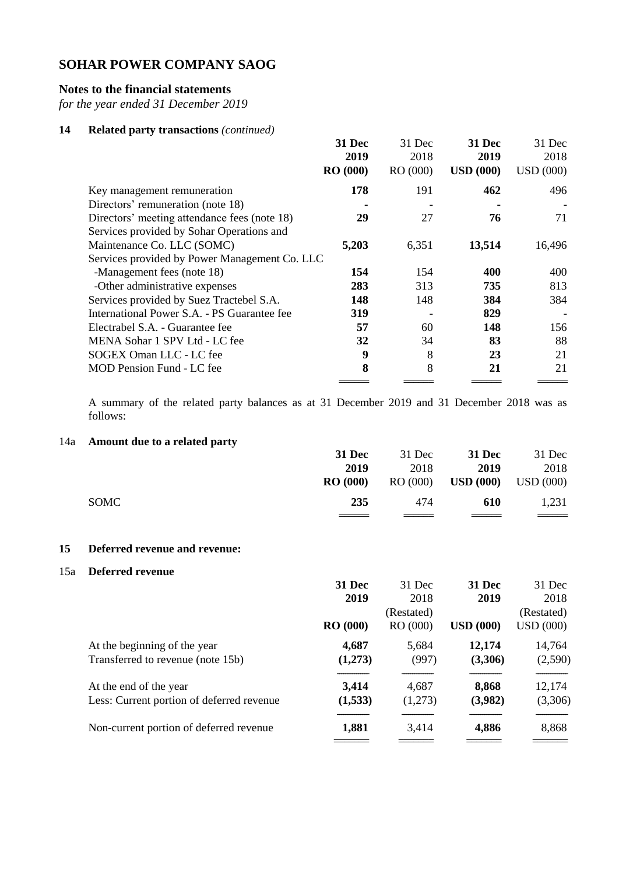## **Notes to the financial statements**

*for the year ended 31 December 2019*

## **14 Related party transactions** *(continued)*

|                                               | <b>31 Dec</b>   | 31 Dec   | <b>31 Dec</b>                     | 31 Dec           |
|-----------------------------------------------|-----------------|----------|-----------------------------------|------------------|
|                                               | 2019            | 2018     | 2019                              | 2018             |
|                                               | <b>RO</b> (000) | RO (000) | $\boldsymbol{\mathrm{USD}}$ (000) | <b>USD</b> (000) |
| Key management remuneration                   | 178             | 191      | 462                               | 496              |
| Directors' remuneration (note 18)             |                 |          |                                   |                  |
| Directors' meeting attendance fees (note 18)  | 29              | 27       | 76                                | 71               |
| Services provided by Sohar Operations and     |                 |          |                                   |                  |
| Maintenance Co. LLC (SOMC)                    | 5,203           | 6,351    | 13,514                            | 16,496           |
| Services provided by Power Management Co. LLC |                 |          |                                   |                  |
| -Management fees (note 18)                    | 154             | 154      | 400                               | 400              |
| -Other administrative expenses                | 283             | 313      | 735                               | 813              |
| Services provided by Suez Tractebel S.A.      | 148             | 148      | 384                               | 384              |
| International Power S.A. - PS Guarantee fee   | 319             |          | 829                               |                  |
| Electrabel S.A. - Guarantee fee               | 57              | 60       | 148                               | 156              |
| MENA Sohar 1 SPV Ltd - LC fee                 | 32              | 34       | 83                                | 88               |
| SOGEX Oman LLC - LC fee                       | 9               | 8        | 23                                | 21               |
| MOD Pension Fund - LC fee                     | 8               | 8        | 21                                | 21               |
|                                               |                 |          |                                   |                  |

A summary of the related party balances as at 31 December 2019 and 31 December 2018 was as follows:

## 14a **Amount due to a related party**

|       | <b>31 Dec</b>   | 31 Dec | <b>31 Dec</b>                   | 31 Dec |
|-------|-----------------|--------|---------------------------------|--------|
|       | 2019            | 2018   | 2019                            | 2018   |
|       | <b>RO</b> (000) |        | $RO(000)$ $USD(000)$ $USD(000)$ |        |
| SOMC. | 235             | 474    | 610                             | 1,231  |
|       |                 |        |                                 |        |

## **15 Deferred revenue and revenue:**

#### 15a **Deferred revenue**

|                                           | 31 Dec          | 31 Dec     | 31 Dec           | 31 Dec           |
|-------------------------------------------|-----------------|------------|------------------|------------------|
|                                           | 2019            | 2018       | 2019             | 2018             |
|                                           |                 | (Restated) |                  | (Restated)       |
|                                           | <b>RO</b> (000) | RO (000)   | <b>USD</b> (000) | <b>USD</b> (000) |
| At the beginning of the year              | 4,687           | 5,684      | 12,174           | 14,764           |
| Transferred to revenue (note 15b)         | (1,273)         | (997)      | (3,306)          | (2,590)          |
| At the end of the year                    | 3,414           | 4,687      | 8,868            | 12,174           |
| Less: Current portion of deferred revenue | (1,533)         | (1,273)    | (3,982)          | (3,306)          |
| Non-current portion of deferred revenue   | 1,881           | 3,414      | 4,886            | 8,868            |
|                                           |                 |            |                  |                  |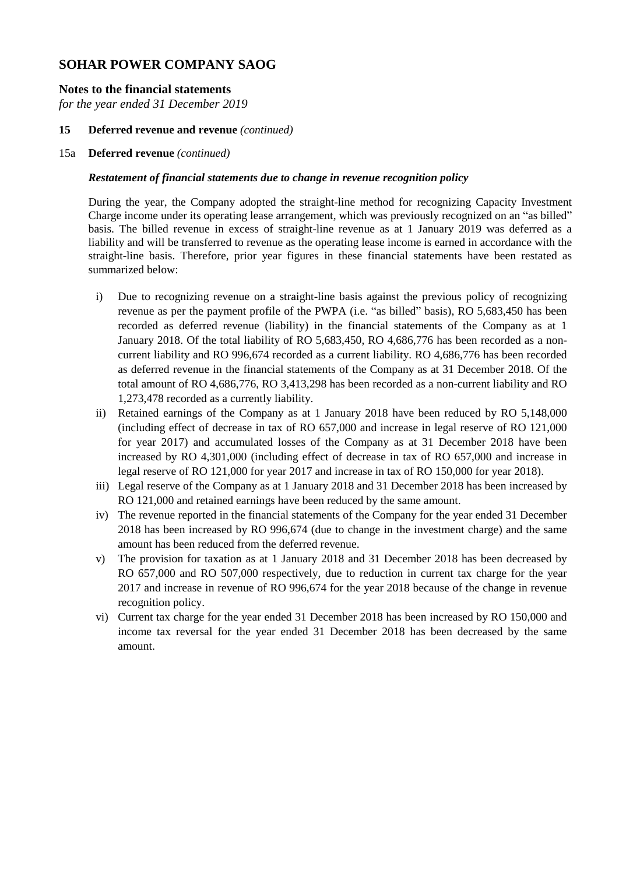## **Notes to the financial statements**

*for the year ended 31 December 2019*

### **15 Deferred revenue and revenue** *(continued)*

#### 15a **Deferred revenue** *(continued)*

### *Restatement of financial statements due to change in revenue recognition policy*

During the year, the Company adopted the straight-line method for recognizing Capacity Investment Charge income under its operating lease arrangement, which was previously recognized on an "as billed" basis. The billed revenue in excess of straight-line revenue as at 1 January 2019 was deferred as a liability and will be transferred to revenue as the operating lease income is earned in accordance with the straight-line basis. Therefore, prior year figures in these financial statements have been restated as summarized below:

- i) Due to recognizing revenue on a straight-line basis against the previous policy of recognizing revenue as per the payment profile of the PWPA (i.e. "as billed" basis), RO 5,683,450 has been recorded as deferred revenue (liability) in the financial statements of the Company as at 1 January 2018. Of the total liability of RO 5,683,450, RO 4,686,776 has been recorded as a noncurrent liability and RO 996,674 recorded as a current liability. RO 4,686,776 has been recorded as deferred revenue in the financial statements of the Company as at 31 December 2018. Of the total amount of RO 4,686,776, RO 3,413,298 has been recorded as a non-current liability and RO 1,273,478 recorded as a currently liability.
- ii) Retained earnings of the Company as at 1 January 2018 have been reduced by RO 5,148,000 (including effect of decrease in tax of RO 657,000 and increase in legal reserve of RO 121,000 for year 2017) and accumulated losses of the Company as at 31 December 2018 have been increased by RO 4,301,000 (including effect of decrease in tax of RO 657,000 and increase in legal reserve of RO 121,000 for year 2017 and increase in tax of RO 150,000 for year 2018).
- iii) Legal reserve of the Company as at 1 January 2018 and 31 December 2018 has been increased by RO 121,000 and retained earnings have been reduced by the same amount.
- iv) The revenue reported in the financial statements of the Company for the year ended 31 December 2018 has been increased by RO 996,674 (due to change in the investment charge) and the same amount has been reduced from the deferred revenue.
- v) The provision for taxation as at 1 January 2018 and 31 December 2018 has been decreased by RO 657,000 and RO 507,000 respectively, due to reduction in current tax charge for the year 2017 and increase in revenue of RO 996,674 for the year 2018 because of the change in revenue recognition policy.
- vi) Current tax charge for the year ended 31 December 2018 has been increased by RO 150,000 and income tax reversal for the year ended 31 December 2018 has been decreased by the same amount.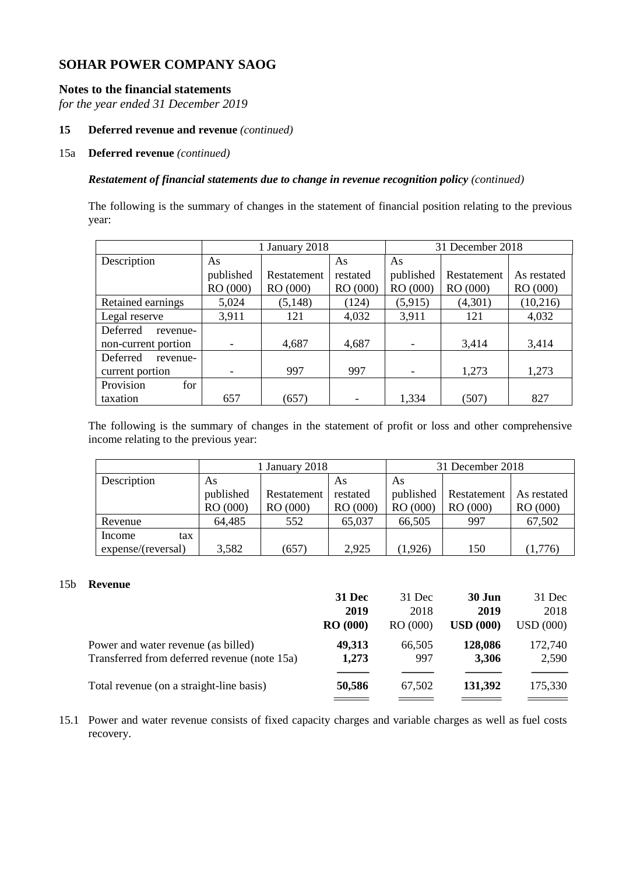## **Notes to the financial statements**

*for the year ended 31 December 2019*

## **15 Deferred revenue and revenue** *(continued)*

#### 15a **Deferred revenue** *(continued)*

### *Restatement of financial statements due to change in revenue recognition policy (continued)*

The following is the summary of changes in the statement of financial position relating to the previous year:

|                      | 1 January 2018 |             | 31 December 2018 |           |             |             |
|----------------------|----------------|-------------|------------------|-----------|-------------|-------------|
| Description          | As             |             | As               | As        |             |             |
|                      | published      | Restatement | restated         | published | Restatement | As restated |
|                      | RO (000)       | RO (000)    | RO (000)         | RO (000)  | RO (000)    | RO (000)    |
| Retained earnings    | 5,024          | (5, 148)    | (124)            | (5, 915)  | (4,301)     | (10,216)    |
| Legal reserve        | 3,911          | 121         | 4,032            | 3,911     | 121         | 4,032       |
| Deferred<br>revenue- |                |             |                  |           |             |             |
| non-current portion  |                | 4,687       | 4,687            |           | 3,414       | 3,414       |
| Deferred<br>revenue- |                |             |                  |           |             |             |
| current portion      |                | 997         | 997              |           | 1,273       | 1,273       |
| Provision<br>for     |                |             |                  |           |             |             |
| taxation             | 657            | (657)       |                  | 1,334     | (507)       | 827         |

The following is the summary of changes in the statement of profit or loss and other comprehensive income relating to the previous year:

|                    | 1 January 2018 |             |          | 31 December 2018 |             |             |  |
|--------------------|----------------|-------------|----------|------------------|-------------|-------------|--|
| Description        | As             |             | As       | As               |             |             |  |
|                    | published      | Restatement |          | published        | Restatement | As restated |  |
|                    | RO (000)       | RO (000)    | RO (000) | RO (000)         | RO (000)    | RO(000)     |  |
| Revenue            | 64,485         | 552         | 65,037   | 66,505           | 997         | 67,502      |  |
| Income<br>tax      |                |             |          |                  |             |             |  |
| expense/(reversal) | 3,582          | (657)       | 2,925    | (1,926)          | 150         | (1,776)     |  |

### 15b **Revenue**

|                                              | <b>31 Dec</b>   | 31 Dec  | 30 Jun           | 31 Dec           |
|----------------------------------------------|-----------------|---------|------------------|------------------|
|                                              | 2019            | 2018    | 2019             | 2018             |
|                                              | <b>RO</b> (000) | RO(000) | <b>USD</b> (000) | <b>USD</b> (000) |
| Power and water revenue (as billed)          | 49,313          | 66,505  | 128,086          | 172,740          |
| Transferred from deferred revenue (note 15a) | 1,273           | 997     | 3,306            | 2,590            |
|                                              |                 |         |                  | 175,330          |
| Total revenue (on a straight-line basis)     | 50,586          | 67,502  | 131,392          |                  |
|                                              |                 |         |                  |                  |

15.1 Power and water revenue consists of fixed capacity charges and variable charges as well as fuel costs recovery.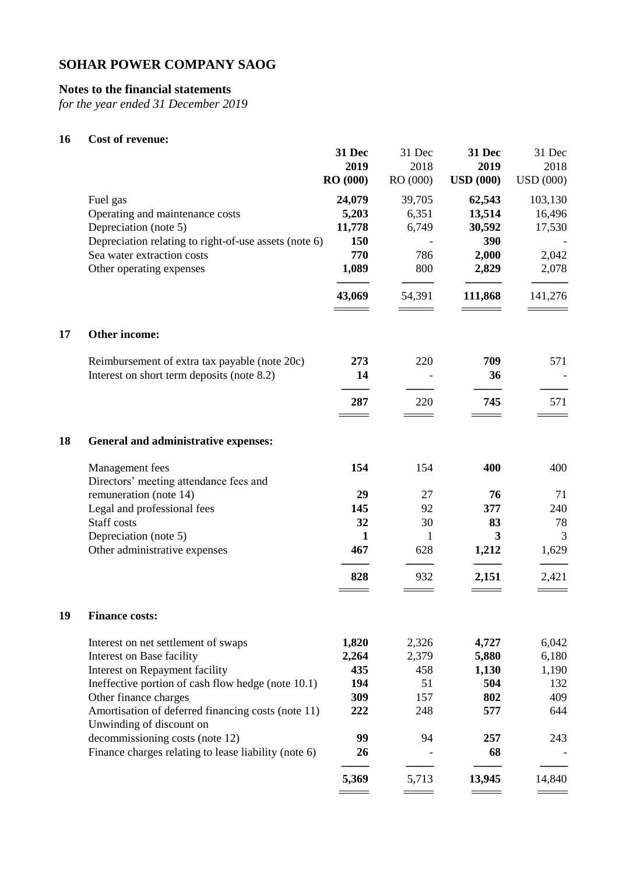## **Notes to the financial statements**

*for the year ended 31 December 2019*

## **16 Cost of revenue:**

|    |                                                                                | 31 Dec       | 31 Dec   | 31 Dec           | 31 Dec           |
|----|--------------------------------------------------------------------------------|--------------|----------|------------------|------------------|
|    |                                                                                | 2019         | 2018     | 2019             | 2018             |
|    |                                                                                | RO (000)     | RO (000) | <b>USD</b> (000) | <b>USD</b> (000) |
|    | Fuel gas                                                                       | 24,079       | 39,705   | 62,543           | 103,130          |
|    | Operating and maintenance costs                                                | 5,203        | 6,351    | 13,514           | 16,496           |
|    | Depreciation (note 5)                                                          | 11,778       | 6,749    | 30,592           | 17,530           |
|    | Depreciation relating to right-of-use assets (note 6)                          | 150          |          | 390              |                  |
|    | Sea water extraction costs                                                     | 770          | 786      | 2,000            | 2,042            |
|    | Other operating expenses                                                       | 1,089        | 800      | 2,829            | 2,078            |
|    |                                                                                |              |          |                  |                  |
|    |                                                                                | 43,069       | 54,391   | 111,868          | 141,276          |
| 17 | Other income:                                                                  |              |          |                  |                  |
|    | Reimbursement of extra tax payable (note 20c)                                  | 273          | 220      | 709              | 571              |
|    | Interest on short term deposits (note 8.2)                                     | 14           |          | 36               |                  |
|    |                                                                                | 287          | 220      | 745              | 571              |
| 18 | <b>General and administrative expenses:</b>                                    |              |          |                  |                  |
|    | Management fees                                                                | 154          | 154      | 400              | 400              |
|    | Directors' meeting attendance fees and                                         |              |          |                  |                  |
|    | remuneration (note 14)                                                         | 29           | 27       | 76               | 71               |
|    | Legal and professional fees                                                    | 145          | 92       | 377              | 240              |
|    | Staff costs                                                                    | 32           | 30       | 83               | 78               |
|    | Depreciation (note 5)                                                          | $\mathbf{1}$ | 1        | 3                | 3                |
|    | Other administrative expenses                                                  | 467          | 628      | 1,212            | 1,629            |
|    |                                                                                | 828          | 932      | 2,151            | 2,421            |
| 19 | <b>Finance costs:</b>                                                          |              |          |                  |                  |
|    | Interest on net settlement of swaps                                            | 1,820        | 2,326    | 4,727            | 6,042            |
|    | Interest on Base facility                                                      | 2,264        | 2,379    | 5,880            | 6,180            |
|    | Interest on Repayment facility                                                 | 435          | 458      | 1,130            | 1,190            |
|    | Ineffective portion of cash flow hedge (note 10.1)                             | 194          | 51       | 504              | 132              |
|    | Other finance charges                                                          | 309          | 157      | 802              | 409              |
|    | Amortisation of deferred financing costs (note 11)<br>Unwinding of discount on | 222          | 248      | 577              | 644              |
|    | decommissioning costs (note 12)                                                | 99           | 94       | 257              | 243              |
|    | Finance charges relating to lease liability (note 6)                           | 26           |          | 68               |                  |
|    |                                                                                | 5,369        | 5,713    | 13,945           | 14,840           |
|    |                                                                                |              |          |                  |                  |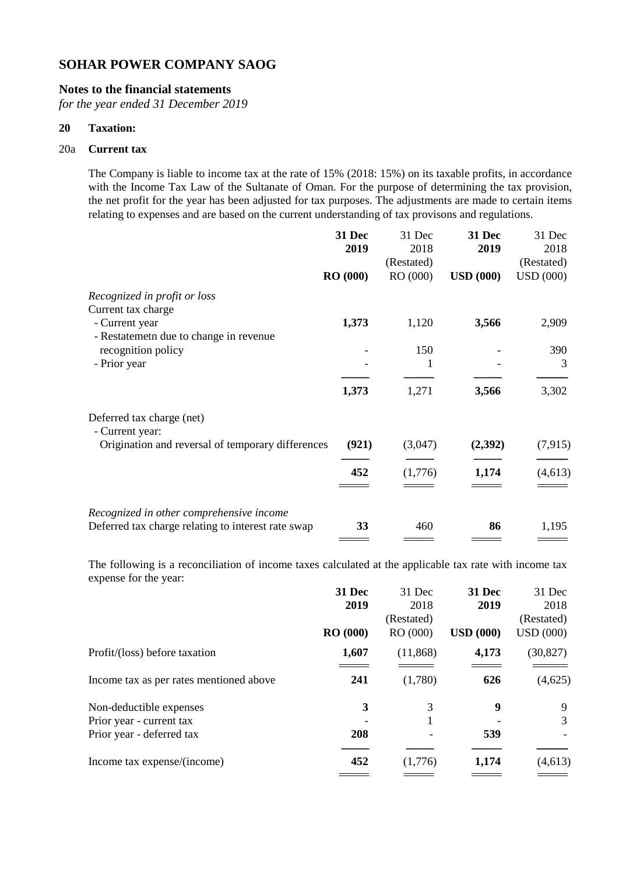## **Notes to the financial statements**

*for the year ended 31 December 2019*

#### **20 Taxation:**

#### 20a **Current tax**

The Company is liable to income tax at the rate of 15% (2018: 15%) on its taxable profits, in accordance with the Income Tax Law of the Sultanate of Oman. For the purpose of determining the tax provision, the net profit for the year has been adjusted for tax purposes. The adjustments are made to certain items relating to expenses and are based on the current understanding of tax provisons and regulations.

|                                                    | 31 Dec          | 31 Dec     | 31 Dec           | 31 Dec           |
|----------------------------------------------------|-----------------|------------|------------------|------------------|
|                                                    | 2019            | 2018       | 2019             | 2018             |
|                                                    |                 | (Restated) |                  | (Restated)       |
|                                                    | <b>RO</b> (000) | RO (000)   | <b>USD</b> (000) | <b>USD</b> (000) |
| Recognized in profit or loss                       |                 |            |                  |                  |
| Current tax charge                                 |                 |            |                  |                  |
| - Current year                                     | 1,373           | 1,120      | 3,566            | 2,909            |
| - Restatemeth due to change in revenue             |                 |            |                  |                  |
| recognition policy                                 |                 | 150        |                  | 390              |
| - Prior year                                       |                 | 1          |                  | 3                |
|                                                    | 1,373           | 1,271      | 3,566            | 3,302            |
| Deferred tax charge (net)                          |                 |            |                  |                  |
| - Current year:                                    |                 |            |                  |                  |
| Origination and reversal of temporary differences  | (921)           | (3,047)    | (2,392)          | (7, 915)         |
|                                                    | 452             | (1,776)    | 1,174            | (4, 613)         |
|                                                    |                 |            |                  |                  |
| Recognized in other comprehensive income           |                 |            |                  |                  |
| Deferred tax charge relating to interest rate swap | 33              | 460        | 86               | 1,195            |
|                                                    |                 |            |                  |                  |

The following is a reconciliation of income taxes calculated at the applicable tax rate with income tax expense for the year:

|                                         | 31 Dec<br>2019 | 31 Dec<br>2018         | 31 Dec<br>2019   | 31 Dec<br>2018                 |
|-----------------------------------------|----------------|------------------------|------------------|--------------------------------|
|                                         | RO(000)        | (Restated)<br>RO (000) | <b>USD</b> (000) | (Restated)<br><b>USD</b> (000) |
| Profit/(loss) before taxation           | 1,607          | (11,868)               | 4,173            | (30, 827)                      |
| Income tax as per rates mentioned above | 241            | (1,780)                | 626              | (4,625)                        |
| Non-deductible expenses                 | 3              | 3                      | 9                | 9                              |
| Prior year - current tax                |                |                        |                  | 3                              |
| Prior year - deferred tax               | 208            |                        | 539              |                                |
| Income tax expense/(income)             | 452            | (1,776)                | 1,174            | (4,613)                        |
|                                         |                |                        |                  |                                |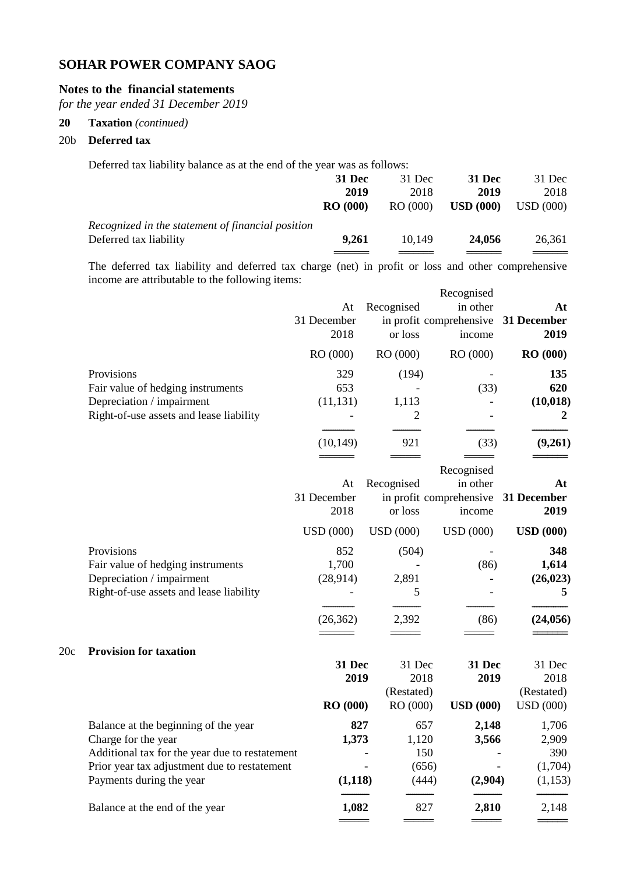## **Notes to the financial statements**

*for the year ended 31 December 2019*

## **20 Taxation** *(continued)*

## 20b **Deferred tax**

20c **Provision for taxation**

Deferred tax liability balance as at the end of the year was as follows:

|                                                   | 31 Dec          | 31 Dec   | <b>31 Dec</b>    | 31 Dec   |
|---------------------------------------------------|-----------------|----------|------------------|----------|
|                                                   | 2019            | 2018     | 2019             | 2018     |
|                                                   | <b>RO</b> (000) | RO (000) | $\bf{USD}$ (000) | USD(000) |
| Recognized in the statement of financial position |                 |          |                  |          |
| Deferred tax liability                            | 9,261           | 10.149   | 24,056           | 26.361   |
|                                                   |                 |          |                  |          |

The deferred tax liability and deferred tax charge (net) in profit or loss and other comprehensive income are attributable to the following items: Recognised

|                                                                |                  |                  | Recognised              |                  |
|----------------------------------------------------------------|------------------|------------------|-------------------------|------------------|
|                                                                | At               | Recognised       | in other                | At               |
|                                                                | 31 December      |                  | in profit comprehensive | 31 December      |
|                                                                | 2018             | or loss          | income                  | 2019             |
|                                                                | RO (000)         | RO (000)         | RO (000)                | <b>RO</b> (000)  |
| Provisions                                                     | 329              | (194)            |                         | 135              |
| Fair value of hedging instruments                              | 653              |                  | (33)                    | 620              |
| Depreciation / impairment                                      | (11, 131)        | 1,113            |                         | (10, 018)        |
| Right-of-use assets and lease liability                        |                  | 2                |                         | 2                |
|                                                                | (10, 149)        | 921              | (33)                    | (9,261)          |
|                                                                |                  |                  | Recognised              |                  |
|                                                                | At               | Recognised       | in other                | At               |
|                                                                | 31 December      |                  | in profit comprehensive | 31 December      |
|                                                                | 2018             | or loss          | income                  | 2019             |
|                                                                | <b>USD</b> (000) | <b>USD</b> (000) | <b>USD</b> (000)        | <b>USD</b> (000) |
|                                                                |                  |                  |                         |                  |
| Provisions                                                     | 852<br>1,700     | (504)            | (86)                    | 348<br>1,614     |
| Fair value of hedging instruments<br>Depreciation / impairment | (28, 914)        | 2,891            |                         | (26, 023)        |
| Right-of-use assets and lease liability                        |                  | 5                |                         | 5                |
|                                                                |                  |                  |                         |                  |
|                                                                | (26, 362)        | 2,392            | (86)                    | (24, 056)        |
|                                                                |                  |                  |                         |                  |
| <b>Provision for taxation</b>                                  |                  |                  |                         |                  |
|                                                                | 31 Dec           | 31 Dec           | 31 Dec                  | 31 Dec           |
|                                                                | 2019             | 2018             | 2019                    | 2018             |
|                                                                |                  | (Restated)       |                         | (Restated)       |
|                                                                | <b>RO</b> (000)  | RO (000)         | <b>USD</b> (000)        | <b>USD</b> (000) |
| Balance at the beginning of the year                           | 827              | 657              | 2,148                   | 1,706            |
| Charge for the year                                            | 1,373            | 1,120            | 3,566                   | 2,909            |
| Additional tax for the year due to restatement                 |                  |                  | 150                     | 390              |
| Prior year tax adjustment due to restatement                   |                  | (656)            |                         | (1,704)          |
| Payments during the year                                       | (1,118)          | (444)            | (2,904)                 | (1, 153)         |
| Balance at the end of the year                                 | 1,082            | 827              | 2,810                   | 2,148            |
|                                                                |                  |                  |                         |                  |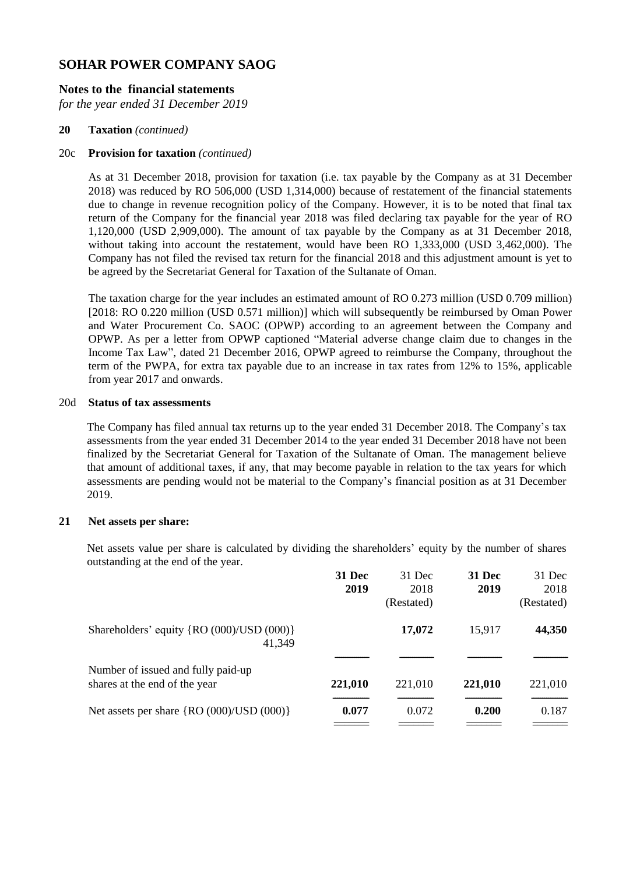## **Notes to the financial statements**

*for the year ended 31 December 2019*

### **20 Taxation** *(continued)*

### 20c **Provision for taxation** *(continued)*

As at 31 December 2018, provision for taxation (i.e. tax payable by the Company as at 31 December 2018) was reduced by RO 506,000 (USD 1,314,000) because of restatement of the financial statements due to change in revenue recognition policy of the Company. However, it is to be noted that final tax return of the Company for the financial year 2018 was filed declaring tax payable for the year of RO 1,120,000 (USD 2,909,000). The amount of tax payable by the Company as at 31 December 2018, without taking into account the restatement, would have been RO 1,333,000 (USD 3,462,000). The Company has not filed the revised tax return for the financial 2018 and this adjustment amount is yet to be agreed by the Secretariat General for Taxation of the Sultanate of Oman.

The taxation charge for the year includes an estimated amount of RO 0.273 million (USD 0.709 million) [2018: RO 0.220 million (USD 0.571 million)] which will subsequently be reimbursed by Oman Power and Water Procurement Co. SAOC (OPWP) according to an agreement between the Company and OPWP. As per a letter from OPWP captioned "Material adverse change claim due to changes in the Income Tax Law", dated 21 December 2016, OPWP agreed to reimburse the Company, throughout the term of the PWPA, for extra tax payable due to an increase in tax rates from 12% to 15%, applicable from year 2017 and onwards.

#### 20d **Status of tax assessments**

The Company has filed annual tax returns up to the year ended 31 December 2018. The Company's tax assessments from the year ended 31 December 2014 to the year ended 31 December 2018 have not been finalized by the Secretariat General for Taxation of the Sultanate of Oman. The management believe that amount of additional taxes, if any, that may become payable in relation to the tax years for which assessments are pending would not be material to the Company's financial position as at 31 December 2019.

#### **21 Net assets per share:**

Net assets value per share is calculated by dividing the shareholders' equity by the number of shares outstanding at the end of the year.

|                                                                     | 31 Dec  | 31 Dec     | 31 Dec  | 31 Dec     |
|---------------------------------------------------------------------|---------|------------|---------|------------|
|                                                                     | 2019    | 2018       | 2019    | 2018       |
|                                                                     |         | (Restated) |         | (Restated) |
| Shareholders' equity {RO (000)/USD (000)}<br>41,349                 |         | 17,072     | 15,917  | 44,350     |
|                                                                     |         |            |         |            |
| Number of issued and fully paid-up<br>shares at the end of the year | 221,010 | 221,010    | 221,010 | 221,010    |
|                                                                     |         |            |         |            |
| Net assets per share $\{RO (000)/USD (000)\}$                       | 0.077   | 0.072      | 0.200   | 0.187      |
|                                                                     |         |            |         |            |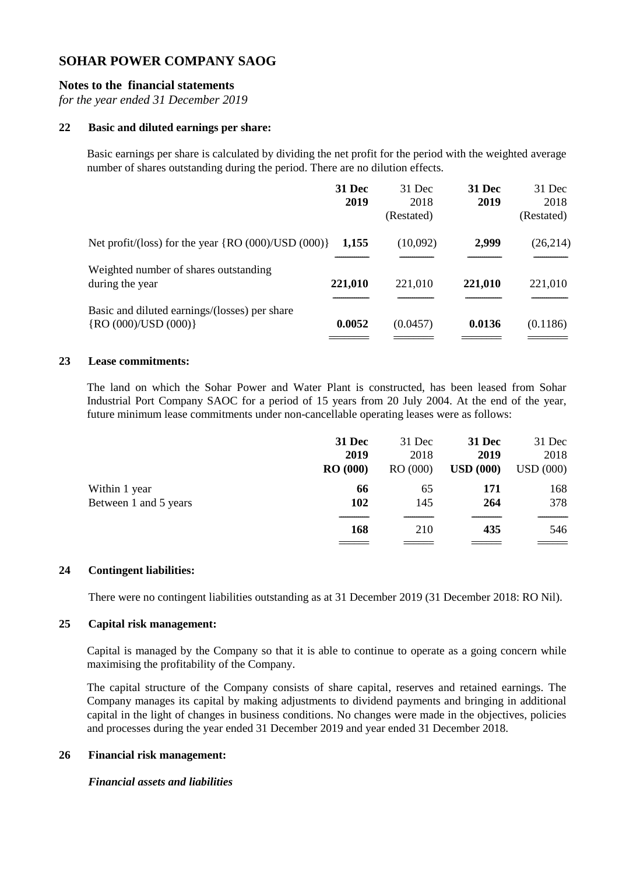## **Notes to the financial statements**

*for the year ended 31 December 2019*

#### **22 Basic and diluted earnings per share:**

Basic earnings per share is calculated by dividing the net profit for the period with the weighted average number of shares outstanding during the period. There are no dilution effects.

|                                                                           | 31 Dec<br>2019 | 31 Dec<br>2018<br>(Restated) | <b>31 Dec</b><br>2019 | 31 Dec<br>2018<br>(Restated) |
|---------------------------------------------------------------------------|----------------|------------------------------|-----------------------|------------------------------|
| Net profit/(loss) for the year $\{RO (000)/USD (000)\}$                   | 1,155          | (10,092)                     | 2,999                 | (26, 214)                    |
| Weighted number of shares outstanding<br>during the year                  | 221,010        | 221,010                      | 221,010               | 221,010                      |
| Basic and diluted earnings/(losses) per share<br>$\{RO (000)/USD (000)\}$ | 0.0052         | (0.0457)                     | 0.0136                | (0.1186)                     |

### **23 Lease commitments:**

The land on which the Sohar Power and Water Plant is constructed, has been leased from Sohar Industrial Port Company SAOC for a period of 15 years from 20 July 2004. At the end of the year, future minimum lease commitments under non-cancellable operating leases were as follows:

|                       | 31 Dec          | 31 Dec  | 31 Dec                            | 31 Dec   |
|-----------------------|-----------------|---------|-----------------------------------|----------|
|                       | 2019            | 2018    | 2019                              | 2018     |
|                       | <b>RO</b> (000) | RO(000) | $\boldsymbol{\mathrm{USD}}$ (000) | USD(000) |
| Within 1 year         | 66              | 65      | 171                               | 168      |
| Between 1 and 5 years | 102             | 145     | 264                               | 378      |
|                       | 168             | 210     | 435                               | 546      |
|                       |                 |         |                                   |          |

#### **24 Contingent liabilities:**

There were no contingent liabilities outstanding as at 31 December 2019 (31 December 2018: RO Nil).

#### **25 Capital risk management:**

Capital is managed by the Company so that it is able to continue to operate as a going concern while maximising the profitability of the Company.

The capital structure of the Company consists of share capital, reserves and retained earnings. The Company manages its capital by making adjustments to dividend payments and bringing in additional capital in the light of changes in business conditions. No changes were made in the objectives, policies and processes during the year ended 31 December 2019 and year ended 31 December 2018.

### **26 Financial risk management:**

#### *Financial assets and liabilities*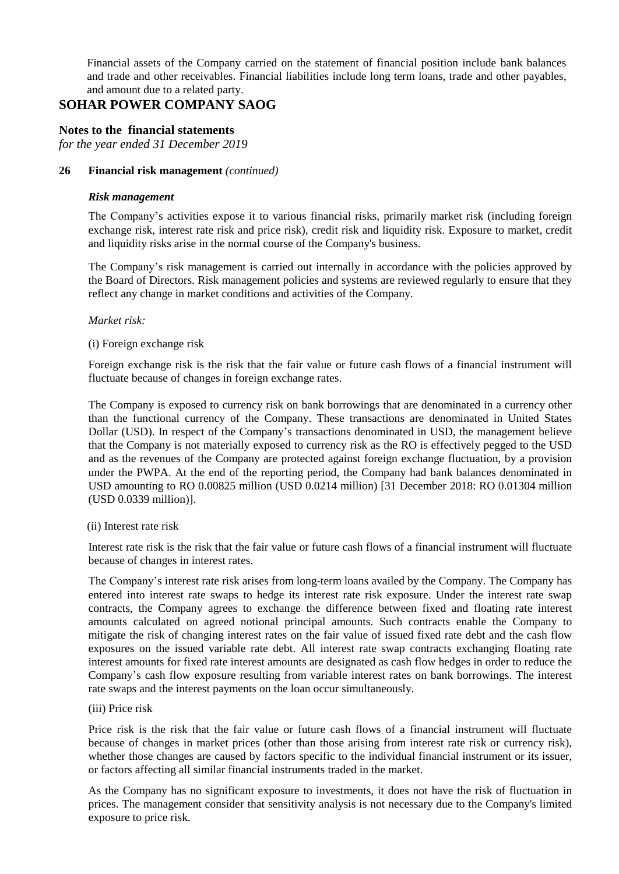Financial assets of the Company carried on the statement of financial position include bank balances and trade and other receivables. Financial liabilities include long term loans, trade and other payables, and amount due to a related party.

## **SOHAR POWER COMPANY SAOG**

#### **Notes to the financial statements**

*for the year ended 31 December 2019*

#### **26 Financial risk management** *(continued)*

#### *Risk management*

The Company's activities expose it to various financial risks, primarily market risk (including foreign exchange risk, interest rate risk and price risk), credit risk and liquidity risk. Exposure to market, credit and liquidity risks arise in the normal course of the Company's business.

The Company's risk management is carried out internally in accordance with the policies approved by the Board of Directors. Risk management policies and systems are reviewed regularly to ensure that they reflect any change in market conditions and activities of the Company.

#### *Market risk:*

#### (i) Foreign exchange risk

Foreign exchange risk is the risk that the fair value or future cash flows of a financial instrument will fluctuate because of changes in foreign exchange rates.

The Company is exposed to currency risk on bank borrowings that are denominated in a currency other than the functional currency of the Company. These transactions are denominated in United States Dollar (USD). In respect of the Company's transactions denominated in USD, the management believe that the Company is not materially exposed to currency risk as the RO is effectively pegged to the USD and as the revenues of the Company are protected against foreign exchange fluctuation, by a provision under the PWPA. At the end of the reporting period, the Company had bank balances denominated in USD amounting to RO 0.00825 million (USD 0.0214 million) [31 December 2018: RO 0.01304 million (USD 0.0339 million)].

#### (ii) Interest rate risk

Interest rate risk is the risk that the fair value or future cash flows of a financial instrument will fluctuate because of changes in interest rates.

The Company's interest rate risk arises from long-term loans availed by the Company. The Company has entered into interest rate swaps to hedge its interest rate risk exposure. Under the interest rate swap contracts, the Company agrees to exchange the difference between fixed and floating rate interest amounts calculated on agreed notional principal amounts. Such contracts enable the Company to mitigate the risk of changing interest rates on the fair value of issued fixed rate debt and the cash flow exposures on the issued variable rate debt. All interest rate swap contracts exchanging floating rate interest amounts for fixed rate interest amounts are designated as cash flow hedges in order to reduce the Company's cash flow exposure resulting from variable interest rates on bank borrowings. The interest rate swaps and the interest payments on the loan occur simultaneously.

#### (iii) Price risk

Price risk is the risk that the fair value or future cash flows of a financial instrument will fluctuate because of changes in market prices (other than those arising from interest rate risk or currency risk), whether those changes are caused by factors specific to the individual financial instrument or its issuer, or factors affecting all similar financial instruments traded in the market.

As the Company has no significant exposure to investments, it does not have the risk of fluctuation in prices. The management consider that sensitivity analysis is not necessary due to the Company's limited exposure to price risk.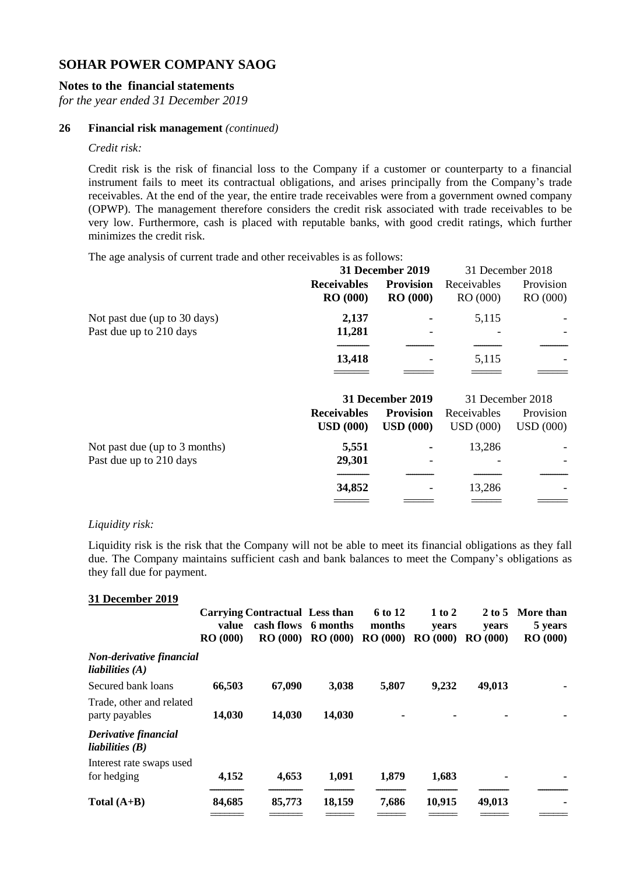#### **Notes to the financial statements**

*for the year ended 31 December 2019*

#### **26 Financial risk management** *(continued)*

*Credit risk:*

Credit risk is the risk of financial loss to the Company if a customer or counterparty to a financial instrument fails to meet its contractual obligations, and arises principally from the Company's trade receivables. At the end of the year, the entire trade receivables were from a government owned company (OPWP). The management therefore considers the credit risk associated with trade receivables to be very low. Furthermore, cash is placed with reputable banks, with good credit ratings, which further minimizes the credit risk.

The age analysis of current trade and other receivables is as follows:

|                               | <b>31 December 2019</b>                | 31 December 2018 |             |                  |
|-------------------------------|----------------------------------------|------------------|-------------|------------------|
|                               | <b>Receivables</b><br><b>Provision</b> |                  | Receivables | Provision        |
|                               | RO(000)                                | <b>RO</b> (000)  | RO (000)    | RO (000)         |
| Not past due (up to 30 days)  | 2,137                                  |                  | 5,115       |                  |
| Past due up to 210 days       | 11,281                                 |                  |             |                  |
|                               |                                        |                  |             |                  |
|                               | 13,418                                 |                  | 5,115       |                  |
|                               |                                        |                  |             |                  |
|                               |                                        | 31 December 2019 |             | 31 December 2018 |
|                               | <b>Receivables</b>                     | <b>Provision</b> | Receivables | Provision        |
|                               | $\bf{USD}$ (000)                       | <b>USD</b> (000) | USD(000)    | <b>USD</b> (000) |
| Not past due (up to 3 months) | 5,551                                  |                  | 13,286      |                  |
| Past due up to 210 days       | 29,301                                 |                  |             |                  |

#### *Liquidity risk:*

**31 December 2019**

Liquidity risk is the risk that the Company will not be able to meet its financial obligations as they fall due. The Company maintains sufficient cash and bank balances to meet the Company's obligations as they fall due for payment.

--------------- ------------- ------------- -------------

======= ====== ====== ======

**34,852** - 13,286 -

|                                               | value<br><b>RO</b> (000) | <b>Carrying Contractual Less than</b><br>cash flows | 6 months<br>$RO(000)$ $RO(000)$ | 6 to 12<br>months<br>RO(000) | 1 to 2<br>years<br>RO(000) | $2$ to 5<br>years<br><b>RO</b> (000) | More than<br>5 years<br><b>RO</b> (000) |
|-----------------------------------------------|--------------------------|-----------------------------------------------------|---------------------------------|------------------------------|----------------------------|--------------------------------------|-----------------------------------------|
| Non-derivative financial<br>liabilities $(A)$ |                          |                                                     |                                 |                              |                            |                                      |                                         |
| Secured bank loans                            | 66,503                   | 67,090                                              | 3,038                           | 5,807                        | 9,232                      | 49,013                               |                                         |
| Trade, other and related<br>party payables    | 14,030                   | 14,030                                              | 14,030                          |                              |                            |                                      |                                         |
| Derivative financial<br>liabilities $(B)$     |                          |                                                     |                                 |                              |                            |                                      |                                         |
| Interest rate swaps used<br>for hedging       | 4,152                    | 4,653                                               | 1,091                           | 1,879                        | 1,683                      |                                      |                                         |
| Total $(A+B)$                                 | 84,685                   | 85,773                                              | 18,159                          | 7,686                        | 10,915                     | 49,013                               |                                         |
|                                               |                          |                                                     |                                 |                              |                            |                                      |                                         |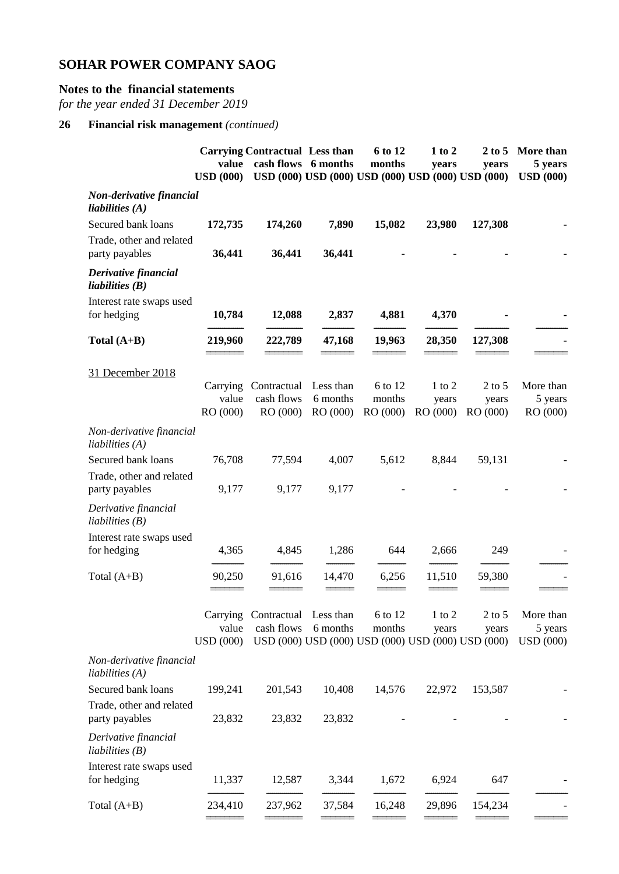## **Notes to the financial statements**

*for the year ended 31 December 2019*

## **26 Financial risk management** *(continued)*

|                                               | value<br><b>USD</b> (000) | <b>Carrying Contractual Less than</b> | cash flows 6 months  | 6 to 12<br>months<br>USD (000) USD (000) USD (000) USD (000) USD (000) | $1$ to $2$<br>years | $2$ to 5<br>years | More than<br>5 years<br><b>USD</b> (000) |
|-----------------------------------------------|---------------------------|---------------------------------------|----------------------|------------------------------------------------------------------------|---------------------|-------------------|------------------------------------------|
| Non-derivative financial                      |                           |                                       |                      |                                                                        |                     |                   |                                          |
| liabilities $(A)$<br>Secured bank loans       |                           | 174,260                               | 7,890                | 15,082                                                                 | 23,980              | 127,308           |                                          |
| Trade, other and related                      | 172,735                   |                                       |                      |                                                                        |                     |                   |                                          |
| party payables                                | 36,441                    | 36,441                                | 36,441               |                                                                        |                     |                   |                                          |
| Derivative financial<br>liabilities $(B)$     |                           |                                       |                      |                                                                        |                     |                   |                                          |
| Interest rate swaps used<br>for hedging       | 10,784                    | 12,088                                | 2,837                | 4,881                                                                  | 4,370               |                   |                                          |
| Total $(A+B)$                                 | 219,960                   | 222,789                               | 47,168               | 19,963                                                                 | 28,350              | 127,308           |                                          |
| 31 December 2018                              |                           |                                       |                      |                                                                        |                     |                   |                                          |
|                                               | Carrying                  | Contractual                           | Less than            | 6 to 12                                                                | $1$ to $2$          | $2$ to 5          | More than                                |
|                                               | value<br>RO (000)         | cash flows<br>RO (000)                | 6 months<br>RO (000) | months<br>RO (000)                                                     | years<br>RO (000)   | years<br>RO (000) | 5 years<br>RO (000)                      |
| Non-derivative financial<br>liabilities $(A)$ |                           |                                       |                      |                                                                        |                     |                   |                                          |
| Secured bank loans                            | 76,708                    | 77,594                                | 4,007                | 5,612                                                                  | 8,844               | 59,131            |                                          |
| Trade, other and related                      |                           |                                       |                      |                                                                        |                     |                   |                                          |
| party payables                                | 9,177                     | 9,177                                 | 9,177                |                                                                        |                     |                   |                                          |
| Derivative financial<br>liabilities $(B)$     |                           |                                       |                      |                                                                        |                     |                   |                                          |
| Interest rate swaps used<br>for hedging       | 4,365                     | 4,845                                 | 1,286                | 644                                                                    | 2,666               | 249               |                                          |
|                                               |                           |                                       |                      | 6,256                                                                  | 11,510              |                   |                                          |
| Total $(A+B)$                                 | 90,250                    | 91,616                                | 14,470               |                                                                        |                     | 59,380            |                                          |
|                                               | Carrying                  | Contractual                           | Less than            | 6 to 12                                                                | $1$ to $2$          | $2$ to $5$        | More than                                |
|                                               | value                     | cash flows                            | 6 months             | months                                                                 | years               | years             | 5 years                                  |
|                                               | <b>USD</b> (000)          |                                       |                      | USD (000) USD (000) USD (000) USD (000) USD (000)                      |                     |                   | <b>USD</b> (000)                         |
| Non-derivative financial<br>liabilities $(A)$ |                           |                                       |                      |                                                                        |                     |                   |                                          |
| Secured bank loans                            | 199,241                   | 201,543                               | 10,408               | 14,576                                                                 | 22,972              | 153,587           |                                          |
| Trade, other and related<br>party payables    | 23,832                    | 23,832                                | 23,832               |                                                                        |                     |                   |                                          |
| Derivative financial<br>liabilities $(B)$     |                           |                                       |                      |                                                                        |                     |                   |                                          |
| Interest rate swaps used<br>for hedging       | 11,337                    | 12,587                                | 3,344                | 1,672                                                                  | 6,924               | 647               |                                          |
| Total $(A+B)$                                 | 234,410                   | 237,962                               | 37,584               | 16,248                                                                 | 29,896              | 154,234           |                                          |
|                                               |                           |                                       |                      |                                                                        |                     |                   |                                          |